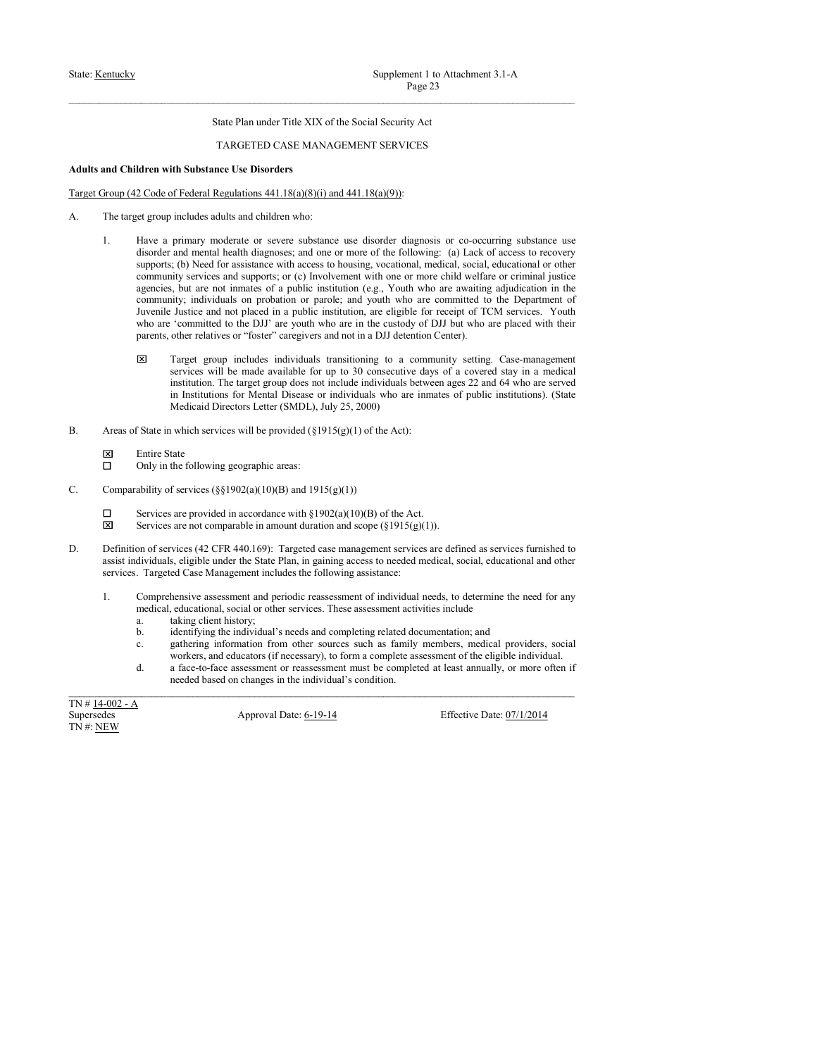# State: <u>Kentucky</u><br>
State Plan under Title XIX of the Social Security Act<br>
State Plan under Title XIX of the Social Security Act<br>
TARGETED CASE MANAGEMENT SERVICES<br>
Adults and Children with Substance Use Disorders<br>
Target G

- 
- State: <u>Kentucky</u><br>
State: Hentucky<br>
State Plan under Title XIX of the Social Security Act<br>
TARGETED CASE MANAGEMENT SERVICES<br> **Adults and Children with Substance Use Disorders**<br>
Target Group (42 Code of Federal Regulations State: <u>Kentucky</u><br>
Supplement 1 to Attachment 3.1-A<br>
Page 23<br>
State Plan under Title XIX of the Social Security Act<br>
TARGETED CASE MANAGEMENT SERVICES<br>
Adults and Children with Substance Use Disorders<br>
Target Group (42 Cod Supplement 1 to Attachment 3.1-A<br>
Page 23<br>
State Plan under Title XIX of the Social Security Act<br>
Page 23<br>
State Plan under Title XIX of the Social Security Act<br>
Adults and Children with Substance Use Disorders<br>
Angel Grou **EXECUTE:** Supplement 1 to Attachment 3.1-A<br> **EXECUTES**<br>
1. Have a primary moderate Title XIX of the Social Security Act<br> **ARR ANDAGEMENT SERVICES**<br> **EXECUTE: EXECUTE: EXECUTE: EXECUTE: EXECUTE:**<br> **EXECUTE: EXEC** Supplement 1 to Attachment 3.1-A<br>
Bage 2.3<br>
State Plan under Title XIX of the Social Security Act<br>
TARGETED CASE MANAGEMENT SERVICES<br> **Iden with Substance Use Disorders**<br> **Iden with Substance Use Disorders**<br>  $\Delta \text{Code of Federal Regulations}$ Supplement 1 to Attachment 3.1-A<br>
Trage 2.3<br>
Sutte Plan under Title XIX of the Social Security Act<br>
TARGETED CASE MANAGEMENT SERVICES<br> **Identity access to the Substance Use Disorders**<br>
2 Code of Federal Regulations 441.18( Supplement 1 to Attachment 3.1-A<br> **Examplement 1 to Attachment 3.1-A**<br> **Contains and Support of TARGETED CASE MANAGEMENT SERVICES**<br> **Iddress with Substance Use Disorders**<br> **IDdress and Support of Supports**<br> **Code of Feder** Supplement 1 to Attachmorat 3.1-A<br> **Equality Are not**<br> **Equality Are not increase the Social Security Art**<br> **ARGETED CASE MANAGEMENT SERVICES**<br> **Altern with Substance Use Disorders**<br> **Altern with Substance Use Disorders**<br> Supplement 1 to Attachment 3.1-A<br> **Example 1** Fan under Title XIX of the Social Security Act<br> **TARGETED CASE MANAGEMENT SERVICES**<br> **Example 10. THE CASE CONSULS ON THE CASE OF PARTMENT SERVICES**<br> **Example 12.1. Example** Supplement 1 to Attachment 3.1-A<br>
Fuge 23<br>
Since Plan under Title XIX of the Social Security Act<br>
TARGETED CASE MANAGEMENT SERVICES<br>
Identify Act<br>
Identify a public institution 4-H1.18(a)(9)):<br>
2. Code of Federal Regulati Supplement 1 to Attachment 3.1-A<br>
<sup>Page</sup> 2.3<br>
Sinte Plan under Title XIX of the Social Security Act<br> **EdGITED CASE MANAGEMENT SERVICES**<br> **Edges**<br> **Edges Examplement with Substance Use Disorders**<br> **Examplement with Subst** Supplement 1 to Attachment 3.1-A<br>
Situe Plan under Title XIX of the Social Security Act<br>
TARGEETED CASE MANAGEMENT SERVICES<br>
Identity Act<br>
Identity and Equations 441.18(a)(3)(a) and 441.18(a)(9)):<br>
and the Center relation Supplement 1 to Attachment 3.1-A<br> **Target 23**<br>
State Plan under Trie XIX of the Social Security Act<br> **TARGETED CASE MANAGEMENT SERVICES**<br> **In Substance Use Disorders**<br> **In Substance Use Disorders**<br> **In Substance Use Disor** Supplement 1 to Attachment 3.1-A<br>
Page 22<br>
State Plan under Trile XIX of the Social Security Act<br>
TARGETED CASE MANAGEMENT SERVICES<br>
If Substance Use Disorders<br>
infl. Substance Use Disorders<br>
infl. Substance Use Disorders Supplement 1 to Attachment 3.1-A<br>
institution. The target group does not include include include include include include include include include include include include include include include include include include incl Supplement 1 to Attachment 3.1-A<br> **Example 2.3**<br>
State Plan under Trite XIX of the Social Security Act<br>
1 TARGETED CASE MANAGUMLENT SERVICES<br> **If Substance Use Diserteders**<br> **If Substance Use Diserteders**<br> **If Substance U** Supplement 1 to Attachment 3.1-A<br>
Nege 23<br>
State Plan under Tride XLX of the Social Security Act<br>
1 TARGETLED CASE MANAGEMENT SERVICES<br> **Min Solvistance Use Disorders**<br> **Min Solvistance CASE MANAGEMENT SERVICES**<br> **Trident Exact Case Cluster Case of State in which services will be a service of State in the ACT (ARE) AREAS (ARE) AREAS (ARE) AREAS (ARE) AREAS (ARE) The material of the provident services will be provided (\$115) of the Act (\$1** State Plan under Title XIX of the Social Security Act<br>
TARGETED CASE MANAGEMENT SERVICES<br> **Edges** of Federal Regulations 441.18(a)(8)(i) and 441.18(a)(9)):<br>
et group includes adults and children who:<br>
Have a primary moder State Plan under Trile XIX of the Social Security Act<br>
deterministic TARGETED CASE MANAGEMENT SERVICES<br>
deterministic Case of Discorders<br>
2 Code of Federal Regulations 441.18(a)(8)(i) and 441.18(a)(9)):<br>
are a proprime mo TARGETED CASE MANAGEMENT SERVICES<br>
Adults and Children with Subtance Use Disorders<br>
Target George (42 Cods of Federal Regulations 441.18(a)(8)(i) and 441.18(a)(9)):<br>
A. The target group includes adults and children who:<br> Ident with Substrance Use Disorders<br>  $\alpha$  Code of Foderal Regulations 441.1 Real/201) and 441.1 Real/201):<br>
These are primary modecants are source substance use disorder diagrams or co-recentring substance to<br>
Have a prim 2. Code of Fisheral Regulations 441.18(a)(8)(i) and 441.18(a)(9)).<br>
Ser group includes adults and children when<br>
Have a pirimary modelent or access to see disorder diagnoses; and one or more of the following: (a) Luck of A. The target group fuscheds adolts and children who:<br>
1. Have a primary moderate or services substance use donoted affectively. (a) Lack of accors in rearrows of<br>
direction at the services (42 CFR 440.169): The services The three types includes that clubbe various collections is the following collection and the superversion of the state planetes and the state of reaction field and access to needed medical, and a medical content of the su 1. Have a privary moderate or severe substance we disorder diagnosis or consecuting substance are<br>supposed, (b) Need for sales dimension with according vectories. The following includes correlated units consecuting the fo disorder and needs heath behavious; and one or note of the Colloving: (c) Lack of access to see the needs of the comparison in the needs of the needs of the needs of the needs of the needs of the needs of the needs of the suppose (ii) Next for sacistance with access to insular potentional, contained activities of the contained activities included the services of the method in the content of the services or other services. The distribution community services and supports; or (c) hrobotoment with one or more child veldine or criminal pasticus,<br>negatives, but are not immulas on paralic in stitution (e.g., Youth who are awaining adjudication in the<br>community;
- agencies, but are one furnisties of a public institution (c<sub>g</sub>, Vontil who are even interest of the Doptsmann in<br>formulation of a point of a point of a point of a point of a point of a<br>point of a point of a point of a poi community individuals on probability of the proposition of paints. The complete of the proposition of the social proposition of the social proposition of the complete or the sources such as family members, and the social Justice and not phonoic in a public institution, are digible for reaccing of TCM seriocs. Vindh entries<br>  $\sim$  commutied to the DJF are youth who are in fit) alloting (European product) their<br>
offer relative or "forter" ca who are "committed to the DDF are youth who are in the costumy of DDF but who are placed with their present must be completed reastive<br>distant interactions to the must be completed at least annual services with the must b partic, other relative to reflect the individual's conditionally and the individual second on changes in the individual is the individual is the individual include the individual is the individual the individual include t serves will be made realised by to p 30 consecutive day of a coverage and the material policies ( $\mu$ ) and  $\mu$ ) and  $\mu$  and  $\mu$ ) and  $\mu$  and  $\mu$  and  $\mu$  and  $\mu$  and  $\mu$  and  $\mu$  and  $\mu$  and  $\mu$  and  $\mu$  and  $\mu$
- -
	-
- -
	-
- in statiution. The target group does not include individuals between ages 22 and 64 who<br>
in Institutions for Mental Disease or individuals who are inmates of public institution<br>
Melicarid Directors Letter (SMDL), July 25,
	- -
		-
		-
		-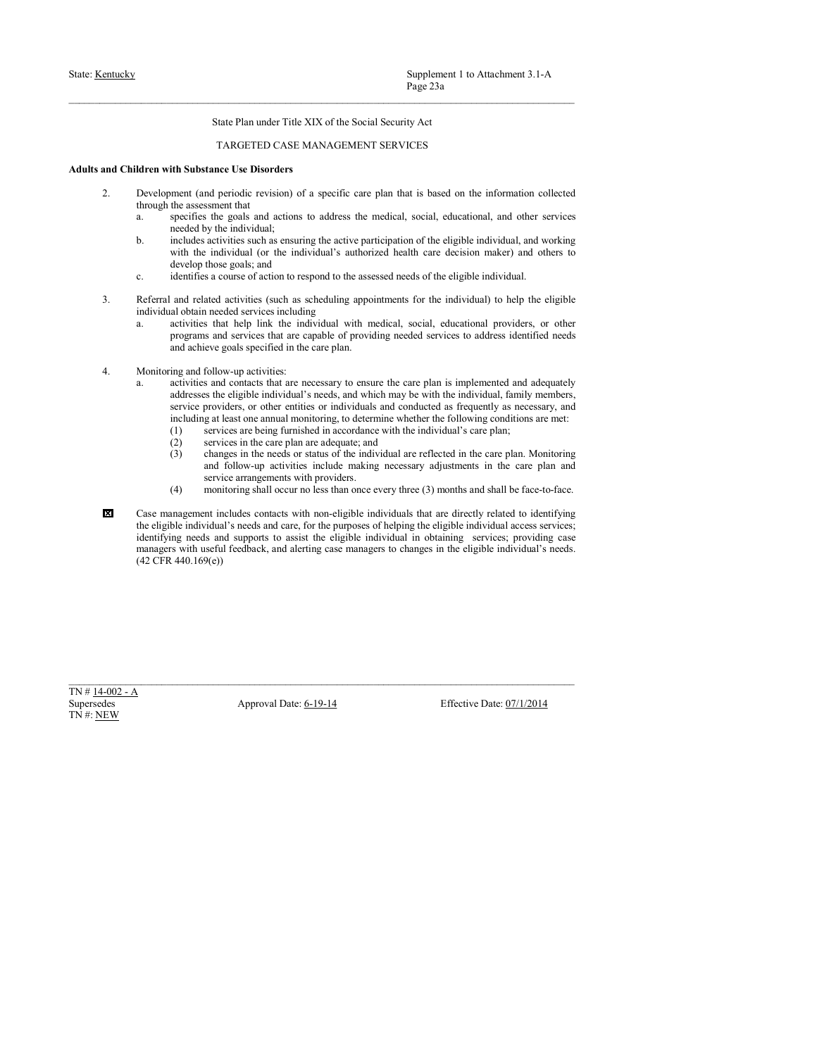- State: <u>Kentucky</u><br>
Page 23a<br>
State Plan under Title XIX of the Social Security Act<br>
TARGETED CASE MANAGEMENT SERVICES<br>
Adults and Children with Substance Use Disorders<br>
2. Development (and periodic revision) of a specific Supplement 1 to Attachment 3.1-A<br>
Page 23a<br>
State Plan under Title XIX of the Social Security Act<br>
TARGETED CASE MANAGEMENT SERVICES<br>
nee Use Disorders<br>
periodic revision) of a specific care plan that is based on the infor State: <u>Kentucky</u><br>
State: Hentucky<br>
State Plan under Title XIX of the Social Security Act<br>
TARGETED CASE MANAGEMENT SERVICES<br>
Adults and Children with Substance Use Disorders<br>
2. Development (and periodic revision) of a sp
	-
	- 2. Supplement 1 to Attachment 3.1-A<br>
	2. Page 23a<br>
	2. Development (and Page Care plan that is based on the information collected<br>
	2. Development (and periodic revision) of a specific care plan that is based on the informati Supplement 1 to Attachment 3.1-A<br>
	Page 23a<br>
	Take Plan under Title XIX of the Social Security Act<br>
	TARGETED CASE MANAGEMENT SERVICES<br>
	Idren with Substance Use Disorders<br>
	Idren with Substance Use Disorders<br>
	Idren with Substa Supplement 1 to Attachment 3.1-A<br>
	Page 23a<br>
	State Plan under Title XIX of the Social Security Act<br>
	TARGETED CASE MANAGEMENT SERVICES<br>
	Development (and periodic revision) of a specific care plan that is based on the informa Supplement 1 to Attachment 3.1-A<br>
	Page 23a<br>
	State Plan under Title XIX of the Social Security Act<br>
	TARGETED CASE MANAGEMENT SERVICES<br> **ith Substance Use Disorders**<br> **ith Substance Use Disorders**<br> **ith Substance Use Disorde** Supplement 1 to Attachment 3.1-A<br>
	Page 23a<br>
	State Plan under Title XIX of the Social Security Act<br>
	TARGETED CASE MANAGEMENT SERVICES<br> **Identity**<br> **Identity**<br> **Development (and periodic revision) of a specific eare plan th** Supplement 1 to Attachment 3.1-A<br> **Page 22a**<br>
	State Plan under Title XIX of the Social Security Act<br>
	TARGETED CASE MANAGEMENT SERVICES<br> **ith Substance Use Disorders**<br> **ith Substance Use Disorders**<br> **ith Substance Use Diso** Supplement 1 to Attachment 3.1-A<br>
	Page 23a<br>
	State Plan under Title XIX of the Social Security Act<br>
	TARGETED CASE MANAGEMENT SERVICES<br> **if the Substance Use Disorders**<br> **if the Substance Use Disorders**<br>
	the assessment that<br> Supplement 1 to Attachment 3.1-A<br>
	Page 23a<br>
	Sinte Plan under Title XIX of the Social Security Act<br>
	TARGETED CASE MANAGEMENT SERVICES<br>
	Iddress with Substance Use Disorders<br>
	a course of a specific ener plan that is based on Supplement I to Attachment 3.1-A<br>
	<sup>Page 23a<br>
	State Plan under Title XIX of the Social Security Act<br>
	TARGETED CASE MANAGEMENT SERVICES<br>
	and Children with Substance I discussion of a specific care plan that is based on the </sup> Supplement 1 to Attachment 3.1-A<br>
	Page 23a<br>
	State Plan under Title XIX of the Social Security Aet<br>
	TAROETED CASE MANAGEMENT SERVICES<br>
	Iddentical obtained the Disorders<br>
	Development (and periodic revision) of a specific car Supplement I to Attachment 3.1- $\Lambda$ <br>
	Prop. 23a.<br>
	Sinte Plan under Title XIX of the Social Security Act<br>
	TARGETED CASE MANAGEMENT SERVICES<br>
	Identity and the individual with subset of Discrement (and periodic respective) of
		-
	- -
	-
	- Supplement 1 to Attachment 3.1-A<br>
	Nege 23a<br>
	Suite Plan under 1 site XIX of the Social Security Act<br>
	TARGETED CASE MANAGEMENT SERVICES<br> **ith Substance Use Observices**<br> **ith Substance that are capable of a specific eare plan** Supplement 1 to Attachment 3.1-A<br>
	Page 23a<br>
	Sinte Plan under Title XLX of the Social Security Act<br>
	TARGETED CASE MANAGEMENT SERVICES<br>
	infibiotions of the Sinter Care plan. The care plan that is based on the information col Supplement 1 to Attachment 3.1-A<br> **EXERCETED CASE MANAGEMENT SERVICES**<br> **EXERCETED CASE MANAGEMENT SERVICES**<br> **EXERCETED CASE MANAGEMENT SERVICES**<br> **And Children with Substance Use Disorders**<br> **And Children with Substance** Supplement I to Attachment 3.1-A<br> **From 2.3s**<br>
	Since Plan index NAN of the Social Security Act<br>
	TARGETED CASE MANAGEMENT SERVICES<br> **Education** with **Substance Use Disorders**<br> **Education** of a specific care plan that is ba Surplement 1 to Attachment 3.1-A<br>
	Nege 23-<br>
	State Plan under Trite XIX of the Social Security Act<br>
	1 TARGELTED CASE MANAGUMLENT SERVICES<br> **ith Substance Use Disorders**<br> **constrained in the information collected**<br>
	member ( Supplement 1 to Attachment 3.1-A<br>
	Note Plan under l'isie XIX of the Social Security Act<br>
	TARGETED CASE MANAGEMENT SERVICES<br>
	the Mushstanee Use Disorders<br>
	ment (and periodic revision) of a specific care plan that is bused Superbane and the Machameter S11-A<br>
	Sinte Plan under Title XIX of the Social Security Act<br>
	TARGETED CASE MANAGEMENT SERVICES<br>
	in Substance Use Disorders<br>
	the Machameter Scheme Constructions are plan that is bused on the i Page 23a<br>
	State Plan under Trife XIX of the Social Security Act<br>
	1 ARGE/IED CASE MANAGE/MENT SERVICES<br> **11)** strictly and the individual is the state of the information collected<br>
	the assessment that a meta-form of a speci State Plan under Title XIX of the Social Security Act<br>
	TARGETLID CASE MANAGEMENT SERVYCES<br>
	TARGETLID CASE MANAGEMENT SERVYCES<br>
	the sussyssimate that **procedures**<br>
	the sussyssimation of a specific care plan that is based o State Plan under Trile XIX of the Social Security Act<br>
	TARGETED CASE MANAGEMENT SERVICES<br> **Status of the status or status of the information** collected<br>
	the assessment that<br>
	the assessment that<br>
	the statistical model of th State Plan under Trile XIX of the Social Security Act<br>
	TARGETED CASE MANAGEMENT SERVICES<br>
	and aperiodic crystics) of a specific care plan that is based on the information collected<br>
	and engers assume that the care plan an
		-
		-
		-
		-
- TARGETED CASE MANAGEMENT SERVICES<br>stance Use Disorders<br>at presention of a specific care plan that is based on the information collected<br>argue mention of a specific care plan that is based on the information collected<br>serv TARGETED CASE MANAGEMENT SERVICES<br>
in Substance Use Use of the original method and shall of the steel and the steel and the steel and<br>
the steel and steel and steel and steel and steel and steel and steel and steel and st Identifying the matrix of the contacts with the season of a specific correlation of a specific term includes contacts and contacts with non-eligible individual, and working<br>through the assessment that related to identify t Development (and periodic revision) of a specific care plan that is boxed on the information care<br>care as exceless the goal and care to address the medical, scalal, educational, and other services<br>are electrons to access Development (and periodic evidence between the assist the eligible individual in order and support in the support of the eligible individual in the evident of the eligible individual in the elimination of the eligible ind through the seessment that is constrained to achieve the medical, social, educational, and order as expected by a medical case matrix and a such a such a such a such that the distribution and working with the individual's a.<br>specifies the goals and actions to address the medical, social, educational, and other services<br>needed by the individual (or the individual)'s authorized health care decision maker) with the individual (or the individu and solutions; goods posted in the case plane is implemented and sale<br>surface and contents that are measures to assume the user plane is implemented and sale<br>subjects and contents the are measures to another of the indivi 4. Monitoring end follow-op-metricies and the care plan is transported and adequately<br>  $\frac{1}{\pi}$  addresses to eligible individuals cosed, and which may be written the adequation, function<br>
survive providers, we observe t 4. Monitoring and follow-up activities:<br>
and configure and context that are necessary to ensure the care plan is implemented and<br>
adverses the eligible individual 5 needs, and which may be with the individual, family<br>
ser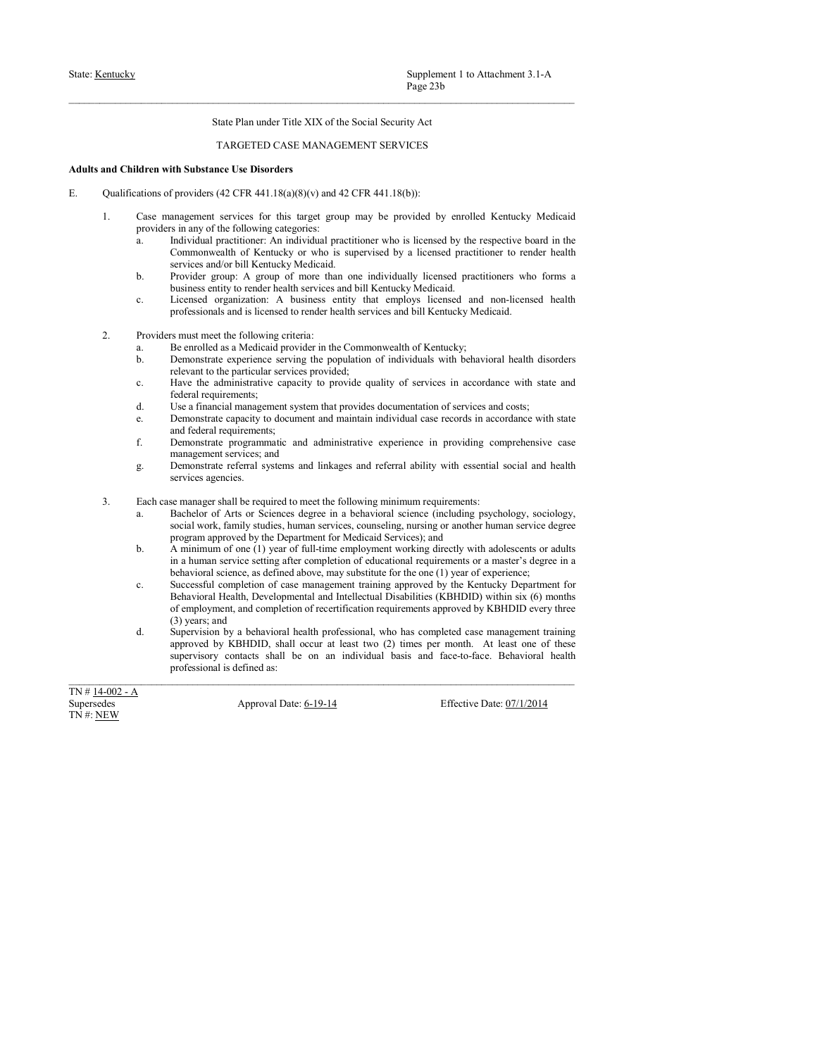- State: <u>Kentucky</u><br>
State: Plan under Title XIX of the Social Security Act<br>
TARGETED CASE MANAGEMENT SERVICES<br> **Adults and Children with Substance Use Disorders**<br>
E. Qualifications of providers (42 CFR 441.18(a)(8)(v) and 4
- Supplement 1 to Attachment 3.1-A<br>
Page 23b<br>
State Plan under Title XIX of the Social Security Act<br>
TARGETED CASE MANAGEMENT SERVICES<br>
nee Use Disorders<br>
(42 CFR 441.18(a)(8)(v) and 42 CFR 441.18(b)):<br>
services for this tar State: <u>Kentucky</u><br>
State: Hentucky<br>
State Plan under Title XIX of the Social Security Act<br>
TARGETED CASE MANAGEMENT SERVICES<br> **Adults and Children with Substance Use Disorders**<br>
E. Qualifications of providers (42 CFR 441.1
- State: <u>Kentucky</u><br>
State Plan under Title XIX of the Social Security Act<br>
TARGETED CASE MANAGEMENT SERVICES<br> **Adults and Children with Substance Use Disorders**<br>
E.<br>
Qualifications of providers (42 CFR 441.18(b)):<br>
1. Case **EXECUTE:** State Plan under Title XIX of the Social Security Act<br> **EXECUTE:** Plan under Title XIX of the Social Security Act<br> **TARGETED CASE MANAGEMENT SERVICES**<br> **AND**<br> **ANDETED CASE MANAGEMENT SERVICES**<br> **Qualifications** Supplement 1 to Attachment 3.1-A<br>
Page 23b<br>
State Plan under Title XIX of the Social Security Act<br>
TARGETED CASE MANAGEMENT SERVICES<br>
Iddren with Substance Use Disorders<br>
ations of providers (42 CFR 441.18(a)(8)(v) and 42 Supplement 1 to Attachment 3.1-A<br>
Page 23b<br>
State Plan under Title XIX of the Social Security Act<br>
TARGETED CASE MANAGEMENT SERVICES<br>
Identity and ALCOMETY SERVICES<br>
And the Substance Use Disorders<br>
and the fallowing auteg Supplement 1 to Attachment 3.1-A<br>
Trage 23b<br>
State Plan under Title XIX of the Social Security Act<br>
TARGETED CASE MANAGEMENT SERVICES<br>
ith Substance Use Disorders<br>
fractioners<br>
fractioners<br>
fractioner (42 CFR 441.18(a)(8) Supplement 1 to Attachment 3.1-A<br>
Page 23b<br>
State Plan under Title XIX of the Social Security Act<br>
TARGETED CASE MANAGEMENT SERVICES<br> **if Nubstance Use Disorders**<br> **if Substance Use Disorders**<br> **if Nubstance Use Disorders** Supplement 1 to Attachment 3.1-A<br>  $P_0$ ge 23b<br>
Sinte Plan under Title XIX of the Social Security Act<br>
TARGETED CASE MANAGEMENT SERVICES<br>
Iddress with Substance Use Disorders<br>
tains of providers (42 CFR 441.18(a)(8)(v) and Supplement 1 to Attachment 3.1-A<br>
Page 23b<br>
State Plan under Title XLX of the Social Security Act<br>
TARGETED CASE MANAGEMENT SERVICES<br> **if** Substitute 1 is Disorders<br>
the Substitute 1 is Disorders<br>
provides (42 CFR 441.18(a Supplement 1 to Attachment 3.1-A<br>
Page 23b<br>
State Plan under Title XIX of the Social Security Act<br>
TARGETED CASE MANAGEMENT SERVICES<br>
Identity and  $\Omega$  CFR 441.18(b)):<br>
Case management services for this unget group may be Supplement 1 to Attachment 3.1-A<br> **Proge 23b**<br>
State Plan under Title XIX of the Social Security Aet<br>
TARGETED CASE MANAGEMENT SERVICES<br> **iff Substance Use Disorders**<br> **iff Substance** Use Disorders<br> **iff** Substance User Di 2. Simplement 1 to Attachment 3.1-A<br>
2. Sime Plan under Title XIX of the Social Security Act<br>
2. TARGETED CASE MANAGEMENT SERVICES<br>
and Children with Substance Use Disorders<br>
and Children with Substance Use Disorders<br>
and Supplement 1 to Attachment 3.1-A<br>
Buge 23b<br>
State Plan under Trile XIX of the Social Security Act<br>
TARGETED CASE MANAGEMENT SERVICES<br>
Identify a HARGETED CASE MANAGEMENT SERVICES<br>
Line management services for this unequel Supplement 1 to Attachment 3.1-A<br>
Plage 23b<br>
Since Plan under Title XIX of the Social Security Act<br>
TARGETED CASE MANAGEMENT SERVICES<br>
Iddress and or individuals (Security and 42 CFR 441.13(b)):<br>
Internal for individual ( Supplement 1 to Attachment 3.1-A<br> **Examplement 1 to Attachment 3.1-A**<br> **Page 23b**<br> **State Plan under Tride XIX of the Social Security Act**<br> **TARGETED CASE MANAGEMENT SERVICES**<br> **Eth Substance Use Disorders**<br> **Constrained;** Supplement I to Attachment 3.1-A<br>
From 23b<br>
Since Plan under Title XIX of the Social Servicy Act<br>
TARGETED CASE MANAGEMENT SERVICES<br>
Identity of the administrative capacity of the administrative capacity<br>
action of provid Supplement 1 to Attachment 3.1-A<br>
Page 23b<br>
State Plan under Title XIX of the Social Security Act<br>
TARGETED CASE MANAGEMENT SERVICES<br>
ith Substance Use Disorders<br>
ith Substance Use Disorders<br>
ith Substance Use Disorders<br> Surpelement 1 to Attachment 3.1-A<br>
State Plan under Tride XIX of the Social Security Act<br>
determines the substrate Use Disorders<br>
determines documentation of state of services for this unperfect provides do provides and p Supplement 1 to Attachment 3.1-A<br>
Singlet 23N<br>
TARGETED CASE MANAGEMENT SERVICES<br>
THEORY ARGENERY SERVICES<br>
Identity of the Singlet growing to document and maintain individual case of provident and provident individual ca Page 23b<br>
State Plan under Title XIX of the Social Security Act<br>
TARGETED CASE MANAGEMENT SERVICES<br> **ith Substance Use Disorders**<br> **Constrained Factor** (42 CFR 441.18(a)(8)(v) and 42 CFR 441.18(b)):<br>
anagement services for State Plan under Trile XIX of the Social Security Act<br>
TARGETED CASE MANAGEMENT SERVICES<br>
Identity and AC (FR 441.18(a)8)(v) and A2 (FR 441.18(b));<br>
Later emangement services for ministrative experience in the syntem of t State Plan under Trile XIX of the Social Security Act<br>
TARGETED CASE MANAGEMENT SERVICES<br> **If)** Substance Use Disorders<br>
floculates: for this day of the Substance Use Disorders<br>
floculates; for this day of the Substance C Since Plan under Thie XIX of the Social Security Act<br>
dirent with Sabitance Use Disorders<br>
and a CFR 441.18(a)8)(y) and 42 CFR 441.18(b)).<br>
Lands of providers in a most disc commence entrationer. An individual genetic<br>
co TARGETED CASE MANAGEMENT SERVICES<br>
ith Substance Use Disorders<br>
ith Substance Use Disorders<br>
provides (42 CFR 441.18(a)(8)(v) and 42 CFR 441.18(a))):<br>
mangement services for this target group may be provided by enrolled K **Solution with Substance Use Disorders**<br>
Solutionites of provided as the following stregged as the requirement street for this interaction of this interaction of the following stregged as provided by carried by the respec altern with Substrance Use Disorelers<br>
according (FA CHI ARTS ON) was degree in a behavior and the formula component of Arts or Sciences degree in a behavior in a behavior in a behavior and the formula component including
	-
	-
	- -
		-
		-
		-
		-
		-
		-
	- -
		-
- f providers (42 CFR 441.18(a)(8)(v) and 42 CFR 441.18(b)):<br>
is a nay of the following caregoises:<br>
a nany of the following caregoises:<br>
a nany of the following caregoises:<br>
Commonwealth of Kenucky or who is supervised by *f* provides (dd. CFR 441.18(a)(8)(y) and 42 CFR 441.18(b)):<br>
management services for this target group may be provided by emploid Kentucky Medicaid<br>
Individual paratitioner. An individual paratitioner who is kentured by t Case management services for this target group may be provided by emrolled Kentucky Medicard<br>
La minimum of the distribution providents who is knowned by the respective bound in the scenarion of the scenarion of the scena anagement services for this harmonic party-be physical representation of energy and particular presentation of the respective both interactions and the properties of energy the required between the setting presentation of is not of the form behavior increases and the following minimum requires the properties beach the science of the substitute of the science precision of Kennatove of the substitute of the substitute for the one of the subst a. Including mechanics: An individual particles<br>are the increase who is a successful of benches the case of case management training<br>by the case management of case management training the state management of the<br>state man Commonwealth of Remands or whis is supervivad by a licensed practitioner to reader beat the result property. groups of more than one intellectual pieces and the more than the more than one intellectual pieces of property. severes and/or bill Kemicity Medicani, and completion of recertifications and forest<br>positive proper. A group of more than one individually licenced and mon-foremed bash<br>beheaves entity to revide health services and bill K Provide groups: A group of more than one individually loscened practitioness who forms a<br>business entity to render health services and bill Kentucky Medicaid.<br>Licensed organization: A business entity that emplys licensed a busines can<br>be havior and the forecone shall behavior and non-licensed beath<br>the forecone and non-licensed training professional, and is licensed training the professional<br>provision mass meter the following criteria:<br>
Pro I account or payer and the interior state and the mphris licented and non-licensed by the symmetric and the month of Neutraly Medicials.<br>
The medicine constraints experiments are at least two first two months of the serves professional and is lied results and health services and bill Kentucky Medicaid.<br>
The mean metall be following criteria:<br>
Because the following criteria:<br>
Because and the following criteria:<br>
Because and individual based a 2. Provides runs mate the fillularity critical in the Commonwealth of Kenthacky heliotechnol includes a Newton Individual is extra revisting the proposition of reduced as the bottomatic method as the state and state inclu b. Demonstrate experience is via the population of individuals with between the distribution of the state of the state of the state of the state of the state of the state of the state of the state of the state of the stat relation to the particular services provided;<br>
Flave the administrative capacity to provide quality of services in accordance with<br>
Clear licensine capacity to according the provides documentation of services and costs;<br>
	-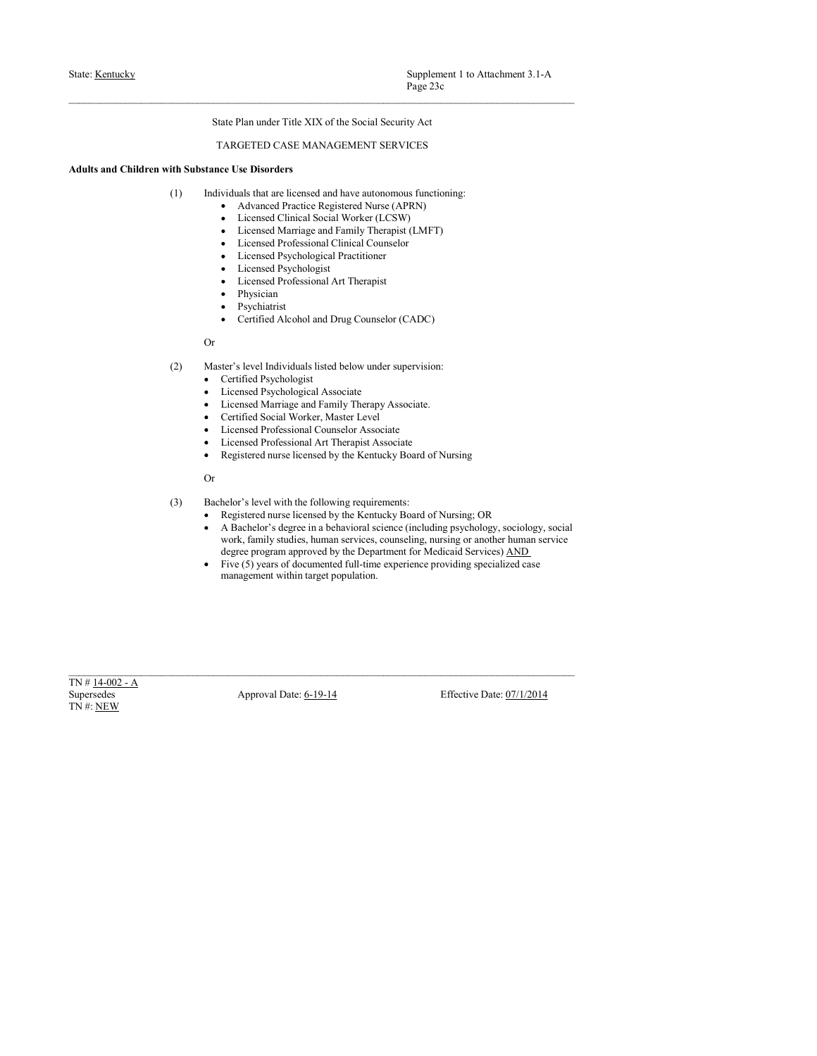- State: <u>Kentucky</u><br>
Page 23c<br>
State Plan under Title XIX of the Social Security Act<br>
TARGETED CASE MANAGEMENT SERVICES<br>
Adults and Children with Substance Use Disorders<br>
(1) Individuals at are licensed and have autonomous f State: <u>Kentucky</u><br>
State: Hentucky<br>
State Plan under Title XIX of the Social Security Act<br>
TARGETED CASE MANAGEMENT SERVICES<br>
Adults and Children with Substance Use Disorders<br>
(1) Individuals that are licensed and have aut
	-
	-
	-
	-
	-
	-
	-
	- Physician
	- Psychiatrist
	-

# Or

- -
	-
	-
	-
	-
	-
- Page 23c<br>
Rate Plan under Title XIX of the Social Security Act<br>
ARGENETED CASE MANAGEMENT SERVICES<br>
viduals that use focused and lawe autonomous functioning:<br>
A dévanced Practice Registered Nurse (APEN)<br>
Licensed Martinge

- -
- nte Plan under Title XLX of the Social Security Art<br>
ARGETED CASE MANAGEMENT SERVICES<br>
ce Use Disorders<br>
viduals that are licensed and have autonomous functioning:<br>
Ark and Worder Therapic Regulated Nurm (APRI)<br>
Licensed C are Plan under Trile XIX of the Social Security Act<br>ARGETED CASE MANAGEMENT SERVICES<br>
viduals that are licensed and have autonomous functioning:<br>  $\bullet$  Advanced Practice Registered Nurse (APRN)<br>
Licensed Öursion Marings and (1) Individuals that net lectrocoles following the electrocoles following the matrices of Chinamic Case (APRN)<br>
• Licensed Chinais IScosic (APRN)<br>
• Licensed Chinais IScosic (LeSW)<br>
• Licensed Profesional Chinais (MFT)<br>
• re Use Disorders and have autonomous functioning;<br>
and Marke Particle Registered Mure (APRN)<br>
• Licensed Christia Scelar Werker (LCSW)<br>
• Licensed Murisge and Family The anpid (LMFT)<br>
• Licensed Professional Clinical Couns Viduals that are licensed and have autonomean functioning:<br>
A Licensed Charial Scient Word-eard, CMF(N)<br>
Licensed Murringe and Family (Interprise (LMF)<br>
Licensed Paythological Fractioner<br>
Licensed Paythological Fractioner Voltain that the therestor in the weather<br>monomonic Unreductor CENN)<br>• Licensed Climical Sectius Worker (CENN)<br>• Licensed Murringe and Fundily Therespiral (LMFT)<br>• Licensed Myringean of Fundily Theoretical<br>Figure 1.1 (Lat A Marancel Praisance Marian (APRIN)<br>
• Licensed Clinical Social Worker (LCSW)<br>
• Licensed Mariang and Funity Therepse (LMFT)<br>
• Licensed Professional Clinical Councelor<br>
• The Department of Professional Art Theoreties<br>
• F Lecenced Nursinge and Family Truespact (LASFY)<br>
• Licenced Propissional Clinical Counseler<br>
• Licenced Propissiongal Tractitioner<br>
• Licenced Propissiongal Tractitioner<br>
• Full-time experiments<br>
• Propision of the specia • Licensed Marriage and Family Therapist (MPF)<br>• Licensed Professional Clinical Counselor<br>• Licensed Psychological Practitioner<br>• Licensed Psychological Practitioner<br>• Licensed Psychologist<br>• Psysicianis<br>• Physicianis<br>• Cy Or<br>
Confined Psychologiett Associate<br>
• Centrical Psychologiett Associate<br>
• Licensel Psychologiett Associate<br>
• Licensel Psychologiett Associate<br>
• Centrical Scelar Worker, Master Level<br>
• Licensel Professional Confined CO Moster's level Individuals listed below under supervision:<br>
Control Paypological Acoustic<br>
Licensed Muntings and Tennity Thermy Associate.<br>
Licensed Muntings: and Tennis (November Date: The Control Control Control Cont (2) Master's level hail viriables listed below under supervision:<br>
• Certified Psychologist<br>
• Licensed Psychologist<br>
• Licensed Marriage and Family Therapy Associate.<br>
• Certified Social Worker, Master Level<br>
• License
	-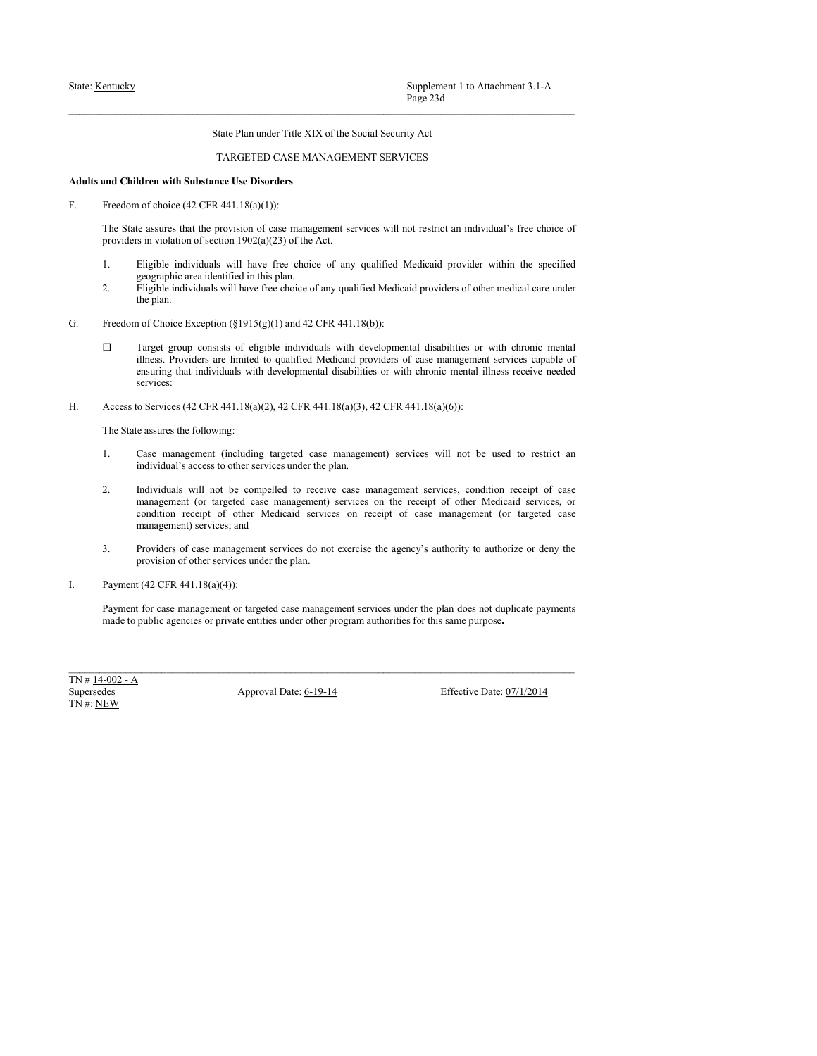Supplement 1 to Attachment 3.1-A<br>
Page 23d<br>
state Plan under Title XIX of the Social Security Act<br>
TARGETED CASE MANAGEMENT SERVICES<br>
are Use Disorders<br>
test (1.18(a)(1)):<br>
at 441.18(a)(1)):<br>
for ease management services w State: <u>Kentucky</u><br>
State: <u>Kentucky</u><br>
State Plan under Title XIX of the Social Security Act<br>
TARGETED CASE MANAGEMENT SERVICES<br> **Adults and Children with Substance Use Disorders**<br>
F.<br>
Freedom of choice (42 CFR 441.18(a)(1) State: <u>Kentucky</u><br>
State: Hentucky<br>
State Plan under Title XIX of the Social Security Act<br>
TARGETED CASE MANAGEMENT SERVICES<br>
Adults and Children with Substance Use Disorders<br>
F.<br>
Freedom of choice (42 CFR 441.18(a)(1):<br>
T Supplement 1 to Attachment 3.1-A<br>
Frage 23d<br>
State Plan under Title XIX of the Social Security Act<br>
TARGETED CASE MANAGEMENT SERVICES<br>
and Children with Substance Use Disorders<br>
Freedom of choice (42 CFR 441.18(a)(1)):<br>
Th **supplement** 1 to Attachment 3.1-A<br> **Fage 23d**<br> **State Plan under Title XIX of the Social Security Act**<br> **TARGETED CASE MANAGEMENT SERVICES**<br> **Rand Children with Substance Use Disorders**<br> **Errodom of choice (42 CFR 441.18 EXECUTE 1.** Eligible inducture individuals will have free conditional distribution of the social Security Act<br> **1. Action Texture in the Substance Use Disorders**<br> **Action of choice (42 CFR 441.18(a)(1)):**<br>
The State assu Supplement 1 to Attachment 3.1-A<br>
Page 23d<br>
State Plan under Title XIX of the Social Security Act<br>
TARGETED CASE MANAGEMENT SERVICES<br>
Identified in this substance Use Disorders<br>
of choice (42 CFR 441.18(a)(1)):<br>
are assure

- 
- 
- 
- 2. Eligible individuals will have free choice of any qualified Medicaid providers of other choice of any qualified Medicaid providers and Children with Substance Use Disorders<br>
and Children with Substance Use Disorders<br>
Fr Supplement 1 to Attachment 3.1-A<br>
Page 23d<br>
State Plan under Title XIX of the Social Security Act<br>
TARGETED CASE MANAGEMENT SERVICES<br>
Idren with Substrance Use Disorders<br>
Idren with Substrance Use Disorders<br>
Idren with Sub State: <u>Kannacky</u><br>
State: Plan under Title XIX of the Social Security Act<br> **Adults und Children with Substate:** Use Discover TARGETED CASE MANAGEMENT SERVICES<br>
Free Moon of choice 4:2 CFR 441.18(o)(1):<br>
The State accures Supplement 1 to Attachment 3.1-A<br>
Puge 23d<br>
Sure Plan under Trile XIX of the Social Security Act<br>
TARGETED CASE MANAGEMENT SERVICES<br>
Identicativities of eligible individuals with development services will not restrict an Supplement 1 to Attachment 3.1-A<br>
Figs: 23d<br>
Since Plan under Trile XIX of the Social Security Act<br>
Here with Sabstance Use Divorders<br>
ACAGEMENT SERVICES<br>
ATAGEMENT CASE ARANGEMENT SERVICES<br>
of choice (42 CTR 441.18(o)(1) Supplement i to Attachment 3.1-A<br>
<sup>Page</sup> 23d<br>
Sinte Plan under Tsile XIX of the Social Security Act<br> **TARGETED CASE MANAGEMENT SERVICES**<br>
Iddress receives will not restrict an individual's free choice of<br>
notionic equalit services: Since  $\frac{\text{Number: Kumbel}}{\text{Page: Max}}$ <br>
Since Plate under Tide NIX of the Social Security Act<br>
Adults and Children with Schemeser Use Diversion<br>
Adults and Children with Schemeser Use Diversion<br>
CFR 441.18(a)(1):<br>
The Society and the **EXECUTE:** From the Attachment 3.1-A<br>
State Plan under Title XIX of the Social Security Act<br>
The State assures that the provision of case management series will not restrict an individual's free choice of<br>
Treedom of choi
- 

- 
- **Sinc Plan under Tole XIX of the Social Security Act**<br> **1. TARGETED CASE MANAGEMENT SERVICES**<br> **2.** The Suds assues that the provision of case management services will not extrict an individual's free choice of<br> **1.** For State Plan under Tide XIX of the Social Security Act<br>
TARGETED CASE MANAGEMENT SERVICES<br> **Identifying the University of Case manugements** services will not restrict an individual's free choice of<br>
a serves that the provis TARGETED CASE MANAGEMENT SERVICES<br> **2. Track standard with Substance Use Disorders**<br> **2. The State assocy dual the provision of exerce management services will not restrict an individual's free choice of<br>
2. The State ass** TARGETED CASE MANAGEMENT SERVICES<br>Identity and the provision of case management services will not restrict an individual's free choice of<br>a substitute of sections (OR)(A)(2)) of the Act.<br>
Eligible individuals will have fr Idrea with Substrance Use Disorders<br>of casets of the provision of ease management services will not restrict an individual's five choice of<br>a winding of scaling Disorder of server choice of any qualified Medicaid provider Idren with Substance Use Disorders<br>of choice (42 CFR 441.18(a(1)):<br>of choice (42 CFR 441.18(a)(1)):<br>and more areasses than the provision of ease management services will not restrict an individual's free choice of<br>this in Freedom of choice Ecc UVR 441.18( $\phi$ )(1) and 42 CFR 441.18( $\phi$ ) and the agency's are management services with an original interpersion of case management services of any qualified. Medicaid provider within the specified is e assures that the provision of case management services will not restrict an individual's free choice of<br>in involution of section 1992(( $\chi$ 23) of the Act.<br>Eligible individuals will have free choice of any qualified M providers in violation of section 1902(a)(23) of the Act.<br>
1. Eigible individuals will have the choice of any qualified Medicaid provider within the specified<br>
2. Eigible individuals will have free choice of any qualified 1. Eigenba individuals will note that calculate the plan does not due to calculate the plan does not due to calculate the plan does not due to the plan does not determined by the maximum of the plan does not due to the pl government and interesting the priori particles of root purpose.<br>
The properties of the purpose or purpose of the purpose of the purpose of the purpose or purpose or purpose. The properties of the purpose of this same pur II Interig grows consists of clighter antivirty developmental dissolution or with choose neutral<br>dissolvered and the spatial behavior and provide of each numerous equals of<br>series: intimatively the discolution of the dis ilness. Providers are limited to qualified Medicaid providers of case management services<br>ensuring that individuals with developmental disabilities or with chronic mental illness receives<br>services:<br>H. Access to Services (
	-
-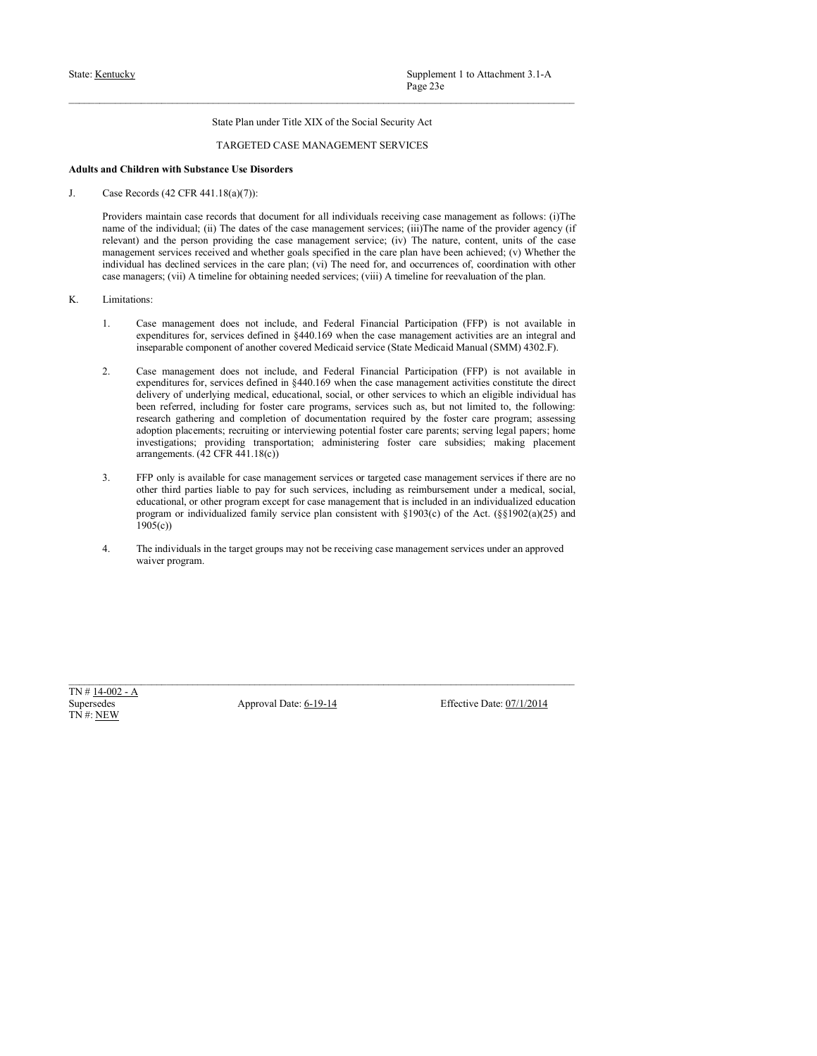Supplement 1 to Attachment 3.1-A<br>
Page 23e<br>
State Plan under Title XIX of the Social Security Act<br>
TARGETED CASE MANAGEMENT SERVICES<br>
nee Use Disorders<br>  $1.8(a)(7)$ :<br>  $1.8(a)(7)$ :<br>
The dates of the case management services; (i State: <u>Kentucky</u><br>
State: Hentucky<br>
State Plan under Title XIX of the Social Security Act<br>
TARGETED CASE MANAGEMENT SERVICES<br>
Adults and Children with Substance Use Disorders<br>
J. Case Records (42 CFR 441.18(a)(7)):<br>
Provid State: <u>Kentucky</u><br>
State: <u>Kentucky</u><br>
State Plan under Title XIX of the Social Security Act<br>
TARGETED CASE MANAGEMENT SERVICES<br> **Adults and Children with Substance Use Disorders**<br>
J. Case Records (42 CFR 441.18(a)(7)):<br>
Pr Supplement 1 to Attachment 3.1-A<br>
Page 23c<br>
State Plan under Title XIX of the Social Security Act<br>
TARGETED CASE MANAGEMENT SERVICES<br>
and Children with Substance Use Disorders<br>
Case Records (42 CFR 441.18(a)(7)):<br>
Provide **EXECUTE:** Supplement 1 to Attachment 3.1-A<br>
Fage 23c<br>
State Plan under Trile XIX of the Social Security Act<br>
TARGETED CASE MANAGEMENT SERVICES<br> **And Children with Substance Use Disorders**<br> **Case Records** (42 CFR 441.18(a) **EXECUTE:** Supplement 1 to Attachment 3.1-A<br> **Page 23:**<br> **State Plan under Title XIX of the Social Security Act**<br> **And Children with Substance Use Disorders**<br> **And Children with Substance Use Disorders**<br> **Case Records (42 Supplement 1** to Attachment 3.1-A<br> **Example 2.3e**<br> **Example 2.2e**<br> **Example 2.2e**<br> **Example 2.4ervices received and Children with Substance Use Disorders<br>
<b>Case Records (42 CFR 441.18(o)7):**<br> **Example 2.6ervices requires individual has declined services in the care plan;** (vi) The need for Services in the care plan; (vi) The need for the care plan; (vi) The care plan; (vi) The care plan; (vi) The care plan; (vi) The care plan; (vi) The ne Supplement 1 to Attachment 3.1-A<br>
Page 23e<br>
Stute Plan under Title XIX of the Social Security Act<br>
TARGETED CASE MANAGEMENT SERVICES<br>
and Children with Substance Use Disorders<br>
Case Records (42 CIR 441.18(a)(7)):<br>
Provides State: <u>Kentucky</u><br>
State: Han under Title XIX of the Social Security Act<br>
Page 23e<br>
State Plan under Title XIX of the Social Security Act<br>
TARGETED CASE MANAGEMENT SERVICES<br>
Adults and Children with Substance Use Disorders Supplement 1 to Antachment 3.1-A<br>
<sup>1</sup>hige 25e<br>
<sup>1</sup>High and Children with Substance Use Disorders MANAGEMENT SERVICES<br> **And Children with Substance Use Disorders**<br> **Case Records**<br> **Case Records**<br> **Case Records**<br> **Case Reco** Supplement 1 to Attachment 3.1-A<br>
<sup>Page 23-<br>
Situe Plan under Title XIX of the Social Security Act<br>
TARGEETED CASE MANAGEMENT SERVICES<br>
Identity Act<br>
Identity and Table and Case management activities are an integral and i</sup> Surpelament 1 to Attachment 3.1-A<br>
State Plan under Trie XIX of the Social Security Act<br>
State Medica<br>
The CoVETED CASE MANAGEMENT SERVICES<br>
Identify and the proceeding AC (ACTE) CASE MANAGEMENT SERVICES<br>
Identify and the

- -
- Supplement I to Attachmost 3.1-A<br>
Sime Plan under Tsile XIX of the Noein) Security Act<br>
TARGETED CASE MANAGEMENT SERVICES<br>
and Children with Substance Use Disorders<br>
and Children with Substance User (2.1 CFF 441.1 Ne)(V)) Supplement 1 to Attachment 3.1-A<br> **Experiment Solution** This NX of the Social Security Act<br>
1 TARGETLED CASE MANAGEMENT SERVICES<br> **Education with Substance Use Disorders**<br>
econstitute the **Formation Case management** activ Supplement 1 to Attochment 3.1-A<br>
Hage 23.<br>
State Plan under Trile XIX of the Social Security Act<br>
delta with Substance Use Disorders<br>
decay with Substance Use Disorders<br>
and delta and decument for all individuals receivi Supplement 1 to Attachment 3.1-A<br>
State Plan under Tride XIX of the Social Security Act<br>
TARGEEED CASE MANAGEMENT SERVICES<br>
determ with Substance Use Disorders<br>
or the Substance Use Disorders<br>
or the Substance Use Disorde Supplement 10. Autochromat Table XIX of the Social Security Act<br>
TARGETED CASE MANAGEMENT SERVICES<br>
THE COMPLETED CASE MANAGEMENT SERVICES<br>
International completion of document for all individuals receiving one management Page 23c<br>
State Plan under Trile XIX of the Social Security Act<br>
Moren with Substance Use Hörsters<br>
recreds (42 CFR 441.18(o)(7):<br>
as maintain case records that document for all individuals receiving case management as fol State Plan under Title XIX of the Social Security Act<br>
TARGETED CASE MANAGEMENT SERVICES<br>
Identity and the Society and Hermannic for all rigitivitials; receiving case management as follows: (i)The<br>
metamorial (42 CFR 441. State Plan under Fitle XIX of the Social Security Act<br>
TARGETED CASE MANAGEMENT SERVICES<br> **State and CASE ACT CFR** 441.18(a)(7)):<br> **Arrangement and CASE ACT CFR** 441.18(a)(7)):<br> **Only the mass records that document for al** TARGETED CASE MANAGEMENT SERVICES<br>
Case Records (2) CTR 4411 NS( $\eta$ ))?<br>
Foresides management services of case management services or the gradient<br>
Frequencies of the distribution of the case management services (and the TARGETED CASE MANAGEMENT SERVICES<br>
determ with Substance Use Disorders<br>
consider a memberical considered by Disorders<br>
consider a memberical consideration of a memberical consider a memberical consider a<br>
determinant as r Idensi with Substance Use Disorders<br>
enerts (42.3% 444.13(6)(7)):<br>
the individual, (8) The dues of the case management service; (ii)) the anne of the provider geony (1)<br>
the individual, (8) The dues of the case management deten with Substance Use Dhorster<br>condectary and individualis receiving case management as follows: (i)The<br>maintain case records that document for all individuals receiving case management with<br>equality in the Acts. (ii) t Providers maintain case records that decurate for all individuals receiving case management stochlows (i)The meaning and the existence of the content particular corrections and the content particular and the content parti is maintain case records that document for all individuals receiving ease management as follows: (ii)The mann of the provider agency (if the distriction) and the person provider asset content of all individuals (ii) The da inequals the component of simulation (symbol) dottains are the Simula Marinet State Model and National State in<br>equalitative for excited defined in \$460.00 when the case management at which said delivery of suberplainter 2. Case meangement does not include and Tsicherd Euricacial Date include the measurement and the distribution of the state of the state of the state of the distribution of the state of the state of the state of the state 2.<br>
Case management does not include, and Federal Financial Particuption (FFP) is not a<br>
expenditures for, services defined in §440.169 when the case management activities constitute<br>
delivery of underlying medical, educa
	- $1905(c)$
	-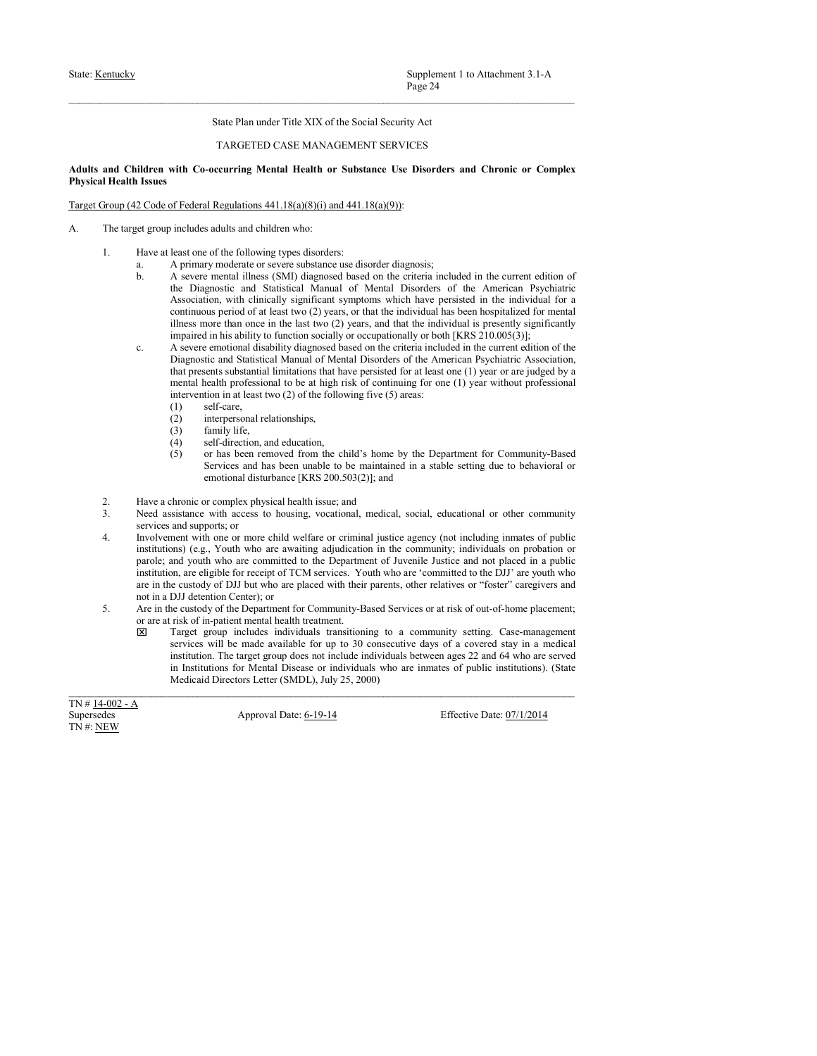# State: <u>Kentucky</u><br>
State: Hentucky<br>
State Plan under Title XIX of the Social Security Act<br>
TARGETED CASE MANAGEMENT SERVICES<br> **Adults and Children with Co-occurring Mental Health or Substance Use Disorders and Chronic or C** Supplement 1 to Attachment 3.1-A<br>
Page 24<br>
State Plan under Title XIX of the Social Security Act<br>
TARGETED CASE MANAGEMENT SERVICES<br>
ccurring Mental Health or Substance Use Disorders and Chronic or Complex<br>
Regulations 441 State: <u>Kentucky</u><br>
Page 24<br>
State Plan under Title XIX of the Social Security Act<br>
Adults and Children with Co-occurring Mental Health or Substance Use Disorders and Chronic or Complex<br>
Physical Health Issues<br>
Target Group State: <u>Kentucky</u><br>
State: Health Issues<br>
State Plan under Title XIX of the Social Security Act<br>
TARGETED CASE MANAGEMENT SERVICES<br>
Adults and Children with Co-occurring Mental Health or Substance Use Disorders and Chronic State: <u>Kentucky</u><br>
State Plan under Title XIX of the Social Security Act<br>
TARGETED CASE MANAGEMENT SERVICES<br>
Adults and Children with Co-occurring Mental Health or Substance Use Disorders and Chronic or Complex<br>
Physical H

- - -
- State: <u>Kentucky</u><br>
State: Plan under Title XIX of the Social Security Act<br>
TARGETED CASE MANAGEMENT SERVICES<br> **Adults and Children with Co-occurring Mental Health or Substance Use Disorders and Chronic or Complex<br>
Physica** 1. Have at least one of the following types disorders: Supplement 1 to Attachment 3.1-A<br>
Proge 24<br>
Stute Plan under Title XIX of the Social Security Act<br>
didren<br>
in TAROETED CASE MANAGEMENT SERVICES<br>
didren<br>
with Co-occurring Mental Health or Substance Use Disorders and Chron Supplement 1 to Attachment 3.1-A<br>  $P_2 = 24$ <br>
Sinte Plan under Title XIX of the Social Security Act<br>
TARGETED CASE MANAGEMENT SERVICES<br>
Issues<br>
16deren with Co-occurring Mental Health or Substance Use Disorders and Chronic Supplement 1 to Attachment 3.1-A<br>
Page 24<br>
State Plan under Title XLX of the Social Security Act<br>
TARGETED CASE MANAGEMENT SERVICES<br>
with Co-occurring Mental Health or Substance Use Disorders and Chronic or Complex<br>
fifth Supplement 1 to Attachment 3.1-A<br> **Page 24**<br>
State Plan under Title XIX of the Social Security Act<br>
TARGETEED CASE MANAGEMENT SERVICES<br>
with Co-occurring Mental Health or Substance Use Disorders and Chronic or Complex<br>  $\$ Supplement 1 to Attachment 3.1-A<br> **Enge 24**<br> **State Plan under Trile XIX of the Social Security Act**<br> **TARGLITED CASE MANAGEMENT SERVICES**<br> **Continuous period of a continuous period of a continuous period of a continuous** Supplement 1 to Attachment 3.1-A<br>
Page 24<br>
Faste Plan under Tele XIX of the Social Security Act<br>
TARGETED CASE MANAGEMENT SERVICES<br>
with Co-occurring Mental Health or Substance Use Disorders and Chronic or Complex<br>
first Supplement 1 to Attachment 3.1-A<br>
Nage 24<br>
Sinte Plan under 1 site XIX of the Social Security Act<br>
TARGETED CASE MANAGEMENT SERVICES<br> **if The Concerning Mental Health or Substance Use Disorders and Chronic or Complex<br>
def** Supplement 1 to Attachment 3.1-A<br>
State Plan under Trile XIX of the Social Security Act<br>
The Constant of The Constant Constant Constant Constant Constant Constant<br>
Internal discussions with the Society of the Constant Con Supplement 1 to Attachment 3.1-A<br>
Prog-24<br>
Statis Plan under Tries XIX of the Steelal Security Act<br>
TARGETED CASE MANAGEMENT SERVICES<br>
with Co-occurring Mental Health or Substance Use Disorders and Chronic or Complex<br>
fri Supplement 1 to Attachment 3.1-A<br>
Phps<sup>2</sup>24<br>
State Plan under Trile XIX of the Social Security Act<br>
TARGETED CASE MANAGEMENT SERVICES<br>
with Co-occurring Mental Health or Substance Use Disorders and Chronic or Complex<br>
fri Supplement 1 to Attachment 3.1-A<br>
Hage 24<br>
TARGETED CASE MANAGEMENT SERVICES<br>
TARGETED CASE MANAGEMENT SERVICES<br>
with Co-eccurring Mental Health or Substance Use Disorders and Chronic or Complex<br>
are disordered to be at h Surplement 1 to Attachment 3.1-A<br>
Share Plan under Trite XIX of the Social Security Act<br>
1 ARGELIED CASE MANAGUMLEY SERVICES<br> **video state of the following Mental Health or Substance Use Disorders and Chronic or Complex<br>** Supplement 1 to Attachment 3.1-A<br>
Page 24<br>
State Plan under Title XIX of the Social Security Act<br>
TARGETED CASE MANAGEMENT SERVICES<br>
with Co-occurring Mental Health or Substance Use Disorders and Chronic or Complex<br>
price Supplement 1 to Attachment 3.1-A<br>
Supplement 1 to Attachment 3.1-A<br>  $\rho_{\text{app}}$ <br>
State Plan under Title XIX of the Social Security Act<br>
TARGETEED CASE MANAGEMENT SERVICES<br> **Finding Concertaints** Manual Health or Substance Page 24<br>
State Plan under Trile XIX of the Social Security Act<br>
TARGETED CASE MANAGEMENT SERVICES<br> **THE CONSTRENT CASE AND AND THE CASE AND ASSEMENT SERVICES**<br> **State The Consequent State And Hereaft or Substance Use Diso** State Plan under Title XIX of the Social Security Act<br>
TARGETED CASE MANAGEMENT SERVICES<br>
TORRORIDENT CO-occurring Mental Health or Substance Use Disorders and Chronic or Complex<br>
sinth Co-occurring Mental Health or Subst State Plan under Trile XIX of the Social Security Act<br>
TARGETED CASE MANAGEMENT SERVICES<br>
THE Concernring Mental Health or Substance Lise Disorders and Chronic or Complex<br>
fricheral Regulations 441.18(a)(3)(i) and 441.18( State Plan under Tride XIX of the Social Security Act<br>
TARGETED CASE MANAGEMENT SERVICES<br>
escurring Mental Health or Substance Use Disorders and Chronic or Complex<br>
escurring Mental Health or Substance Use Disorders<br>
and TARGETED CASE MANAGEMENT SERVICES<br>  $\alpha$ -occurring Mental Health or Substance Use Disorders and Chronic or Complex<br>
allegedations 441.18(a)(8)(i) and 441.18(a)(9)):<br>
a alults and obildres who:<br>
a different propositions:<br>
a **and Children with Co-occurring Mental Health or Substance Use Disorders and Chronic or Complex<br>
21. Have a chero of the following types diavoleties:<br>
The target group includes adults and children who:<br>
2. Have a chero of** 
	- -
		-
		-
		-
		-
	-
	-
- **and Columeration** (Society and Columeration) (Society and Columeration) (Society and Columeration) (Society and Access to the following types disorders:<br>
The tampet grow medical solutions of  $44.18\omega(85)(1)$  and  $441.18\omega$ **I Suice**<br>
SC cofe of Federal Regulations 441.18(a)(8)(i) and 441.18(a)(9)):<br>
Sc et group includes adults and ehidern who:<br>
Have at least one of the following types disorders;<br>
A severe meatal illness (SNI) diagnosed base The unger the set of childrens of the US and the set of the set of the set of the set of the set of the set of the set of the set of the set of the set or criminal set of the set of the set of the set of the set of public 2. Code of Tederal Regalations: 441.18(a)(3))) and 441.18(a)(2)):<br>
Hive at least one of the following types disorders.<br>
Investigation in the correct mediation of A series are await of the community; individuals on the com paroles anison and children who<br>
these are committed to the Delivering types of some committed to the committed to the American Payl-harmon<br>
a. A primary moderate or severe substance on discrete includes of the American Pa are provided solid and children who are eligible for a convention, and the primary resolution of A server means the simulation of the committee of the American Proposition of A server means that the Diagnosed based on the Have at least one of the following types dissesters.<br>
A severe meant alterned to the current included in the interval included with the custody<br>
dispersession of the custody of the current of the custody of the custody<br>
A Hive at least one of the following type disorders.<br>
in a A primary modentie or severe substance use disorder diagnosis;<br>
a. A permary modentie or severe substance use disorder diagnosis (SM) diagnosed based on the critica **5.** A primary such schedules or active and the custody diagonality in the custody in the custody of the custody of the custody of the custody of the custody of the custody of the custody of the custody of the custody of A accore mental lines (SMI) diagnosed based on the criteria included in the current edition of the area reached in the accoretion of the continue and the accoretion with climate threat and the accoretion with the particul the Datagonic and Statistical Marial of Moral Dotatolan (a fluctual case)<br>
the chromosophorum is the last two players, which the subsequence of the chromosophism<br>
impacted in the subsequence of the community setting. The Assessment will be made by the molecular symptoms which have presided in the individual for a consecutive property of the molecular symptom and that the molecular symptoms are the stay in the molecular symptoms and the mo continuous period of at keat two (2) years, or that the individual has bear bespelling<br>threes note than once in the halt two (2) years, and that the individual for resulting<br>the mynicial in this ability to free the method illease more than more in the last two (2) years, and that in the individual is presently significantly<br>impaired in his additive to finite the computationally or both [KRS 210.005(3)]:<br>
A secrece involvion disease the mat Means the short-to-state of the short-to-state of the short-to-state (SCDL), July 25, 2000,  $\Delta$  2000) and the short-to-state subsequential limitations that the state of all the state one of the small heat of the state on the present subsection that the presented from these particles for a location of the particles of the state of the state of the state of the state of the state of the state of the state of the state of the state of the st mend health professional to be at high risk of continuing for one (1) year without professional to be at high risk of continuing for one (1) year without professional relationships,<br>
(2) interpersonal relationships,<br>
(3)
	- -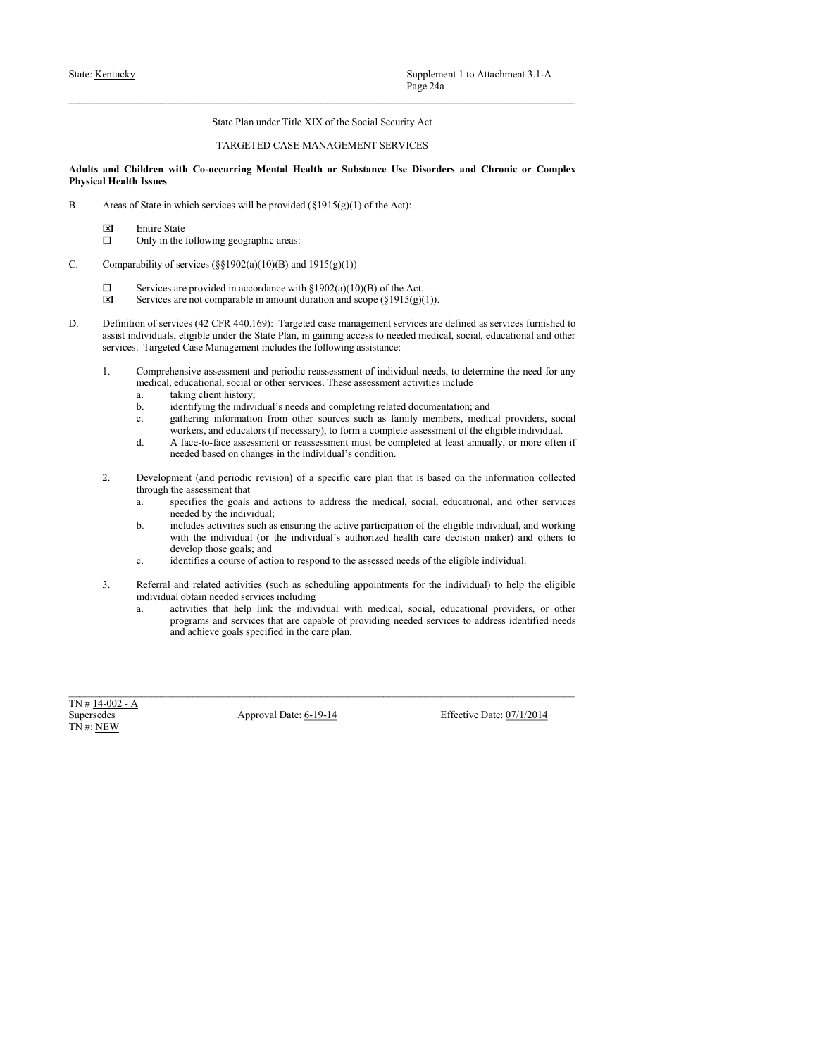# State: <u>Kentucky</u><br>
Page 24a<br>
State Plan under Title XIX of the Social Security Act<br>
TARGETED CASE MANAGEMENT SERVICES<br> **Adults and Children with Co-occurring Mental Health or Substance Use Disorders and Chronic or Complex<br>** Supplement 1 to Attachment 3.1-A<br>
Page 24a<br>
State Plan under Title XIX of the Social Security Act<br>
TARGETED CASE MANAGEMENT SERVICES<br>
ccurring Mental Health or Substance Use Disorders and Chronic or Complex<br>
vices will be State: <u>Kentucky</u><br> **Adults and Children with Co-occurring Mental Health or Substance Use Disorders and Chronic or Complex<br>
Adults and Children with Co-occurring Mental Health or Substance Use Disorders and Chronic or Comp** State: <u>Kentucky</u><br>
State: <u>Kentucky</u><br>
State Plan under Title XIX of the Social Security Act<br>
TARGETED CASE MANAGEMENT SERVICES<br>
Adults and Children with Co-occurring Mental Health or Substance Use Disorders and Chronic or Sinte: <u>Kentucky</u><br>
State Plan under Title XIX of the Social Security Act<br>
TARGETED CASE MANAGEMENT SERVICES<br>
Adults and Children with Co-occurring Mental Health or Substance Use Disorders and Chronic or Complex<br>
Physical Supplement 1 to Attachment 3.1-A<br>
Page 24a<br>
State Plan under Title XIX of the Social Security Act<br>
TARGETED CASE MANAGEMENT SERVICES<br> **ildren with Co-occurring Mental Health or Substance Use Disorders and Chronic or Compl** Supplement 1 to Attachment 3.1-A<br>
Page 24a<br>
State Plan under Title XIX of the Social Security Act<br>
TARGETED CASE MANAGEMENT SERVICES<br> **idera with Co-occurring Mental Health or Substance Use Disorders and Chronic or Comple**

- -
	-
- -
	-
- State: <u>Kentucky</u><br>
State: Han under Title XIX of the Social Security Ast<br>
TARGETED CASE MANAGEMENT SERVICES<br> **Adults and Children with Co-occurring Mental Heatth or Substance Use Disorders and Chronic or Complex<br>
Physical** Supplement 1 to Attachment 3.1-A<br> **State Plan under Title XIX of the Social Security Act**<br> **State Plan under Title XIX of the Social Security Act**<br> **STATE CALCONSTRENT SERVICES**<br> **Indices with Co-occurring Mental Health o** Supplement 1 to Attachment 3.1-A<br>
Tage 24a<br>
State Plan under Title XIX of the Social Security Act<br>
TARGETED CASE MANAGEMENT SERVICES<br> **identer**<br> **identification and Chronic or Complex<br>
Issues in<br>
Issues in a model service** State: **Kantacky**<br>
State: Plan ander Title XIX of the Social Security Act<br>
TAROLETED CASE (42 CFR 440.169): TAROLETED CASE (440.169): TAROLETED CASE (440.169):<br>
Hyposcal Health society<br>
Adults and Children with Ca-securit **Supplement 1:** to Attachment 3.1-A<br> **Sunce Plan, under Trile XIX** of the Social Security Act<br> **and Childera with Co-occurring Mental Health or Substance Use Disorders and Chronic or Complex<br>
Health Issues<br>
and Childera w Supplement 1 to Attochmoet 3.1-A**<br> **Succident Case Management includes the Social Security Act**<br> **Succident Case Management includes the Social Security Act**<br> **Succident Case Management Case Management includes the follo** Supplement 1 to Attachmost 3.1-A<br>
Sime Plan under Tsile XIX of the Social Security Act<br>
TARGETED CASE MANAGEMENT SERVICES<br>
and Children with Co-eccurring Mental Health or Substance Use Disorders and Chronic or Complex<br>
IT Supplement I to Attachment 3.1-A<br> **Enge 246**<br>
Since Plan under Title XIX of the Social Security Act<br>
TARGETLED CASE MANAGEMENT SERVICES<br> **Iddent with Co-occurring Mental Health or Substance Use Disorders and Chronic or Co** Supplement 1 to Attachment 3.1-A<br>
Page 24a<br>
State Plan under Title XIX of the Social Security Act<br>
TARGETED CASE MANAGEMENT SERVICES<br>
ident with Co-occurring Mental Health or Substance Use Disorders and Chronic or Complex Supplement 1 to Attachment 3.1-A<br>
State Plan under Trile XIX of the Social Security Art<br>
TARGEED CASE MANAGEMENT SERVICES<br>
differee with Co-securing Mental Health or Substract Use Disorders and Chronic or Complex<br>
Issues<br> Suppliered The munder Title XIX of the Social Security Act<br>
TARGETED CASE MANAGEMENT SERVICES<br>
TARGETED CASE MANAGEMENT SERVICES<br>
Idditerrative information from other sources such as family members, and Chronic or Complex Page 24a<br>
State Plan under Trile XIX of the Social Security Act<br>
1 ARGE/IED CASE MANAGE/MENT SERVICES<br>
with Co-occurring Mental Health or Substance Use Disorders and Chronic or Complex<br>
which services will be provided (§1 State Plan under Trile XIX of the Social Security Act<br>
TARGETED CASE MANAGEMENT SERVICES<br>
idinens<br>
idinens<br>
idinens<br>
idinens<br>
idinens<br>
idinens<br>
idinens<br>
idinens<br>
State in which services well the provided (\$1915(g(1) of th State Plan under Title XIX of the Social Security Act<br>
TARGETED CASE MANAGEMENT SERVICES<br>
THAGETED CASE MANAGEMENT SERVICES<br>
with Co-occurring Mental Health or Substance Use Disorders and Chronic or Complex<br>
which service TARGETED CASE MANAGEMENT SERVICES<br>
2. Development (and periodic revises will be provided (\$1915(g(t)) of the Act):<br>
Areas of State in which services will be provided (\$1915(g(t)) of the Act):<br>  $\Box$  Eurics (\$1907(a)(10)(01 Only in the following geographic accuse<br>  $\Box$ <br>  $\Box$  Services are provided in accordance with  $\S 1902(a)(10)(0)$  of the Act.<br>  $\Box$ <br>  $\Box$ <br>
Services are provided in accordance with  $\S 1902(a)(10)(0)$  of the Act.<br>  $\Box$ <br>
Services ar ET Severica ac provides achieve goals specified in the care plan. Experimental in the care of the care of the care of the care of the care of the care of the care of the care of the care of the care of the care of the c
	- -
		-
		-
		-
	- -
- TARGETED CASE MANAGEMENT SERVICES<br>
ident with Co-occurring Mental Health or Substance Use Disorders and Chronic or Complex<br>
Issues<br>
Issues<br>
Estate in which services will be provided (§1915(g)(1) of the Act):<br>
Entrice Stat ilaters with Co-securing Mental Health or Substance Use Disorders and Chronic or Complex<br>
ISsues<br>
ISsues<br>
Using Source (Silver) and  $(81915(g)(1)$  of the Actions the Godinal, and<br>
Entire Sunce Colloving geographic accase<br>
E with Co-occurring Mental Health or Substance Use Disorders and Chronic or Complex<br>which services will be provided (§1915(g)(1) of the Act]:<br>tate<br>the fieldowing geographic areas:<br>for services (§81902(a)(10)(B) and 1915(g)( **ISSUES**<br>
Share in which services such the provided (\$1915(g)(1) of the Act):<br>
Similar State<br>
Entire State<br>
Entire State<br>
Entire State<br>
Entire State<br>
Entire such as ensuring the included in accordance with  $\S1902(6)(1000)$ which services will be provided (§1915(g)(1) of the Act):<br>the final formulation and foreverse (§81902(a)(10)(B) and 1915(g)(1))))<br>are provided in accordance with §1902(a)(10)(B) of the Act<br>are increase for the individual a to which services will be provided (§1915(g)(1) of the Act):<br>the following geographic areas:<br>the following geographic areas:<br>f services (§§1902(a)(10)(B) and 1915(g)(1))<br>f services (§§1902(a)(10)(B) and 1915(g)(1))<br>are ar
	-
	-
- charge Syant and eligible areas courses of a  $1913(q)(10)$  and  $1918(q)(1)$ <br>Solvitives are provided in accordance with  $\frac{1}{2}(912(q)(10) \text{H})$  of the Act.<br>Services are provided in accordance with  $\frac{1}{2}(912(q)(10) \text{H})$ .<br>Servic ability of services (\$§1902(a)(10)(B) and 1915(g)(1))<br>
Services are provided in accordance with §1902(a)(10)(b) of the Act.<br>
Services are not comparable in amount duration and scope of §1915(g)(1)).<br>
Services are the comp ability of savives of 83.1000 (1003) and 19.18(g(1)) (10) of the Act.<br>
Services are root-search as the individual with the individual with medical, social, social, social, social, social, social, social, social, social, so are provided in accordance with §1902(a)(10)(B) of the Act.<br>
are not comparable in monour duration and secre [s/915/a(3)).<br>
veices of 2-CFR 440.1691. Trageted case management services are defined as services finitialed to 1. Competizative assessment and periodic subsections and published accels to determine the control of the section of the section of the section of the section of the section of the section of the section of the section of medical, educational, social or other services. These assessment activities include<br>
a. taking client history;<br>
a. taking client history;<br>
b. dentifying the individual sneeds and completing related documentation; and<br>
c.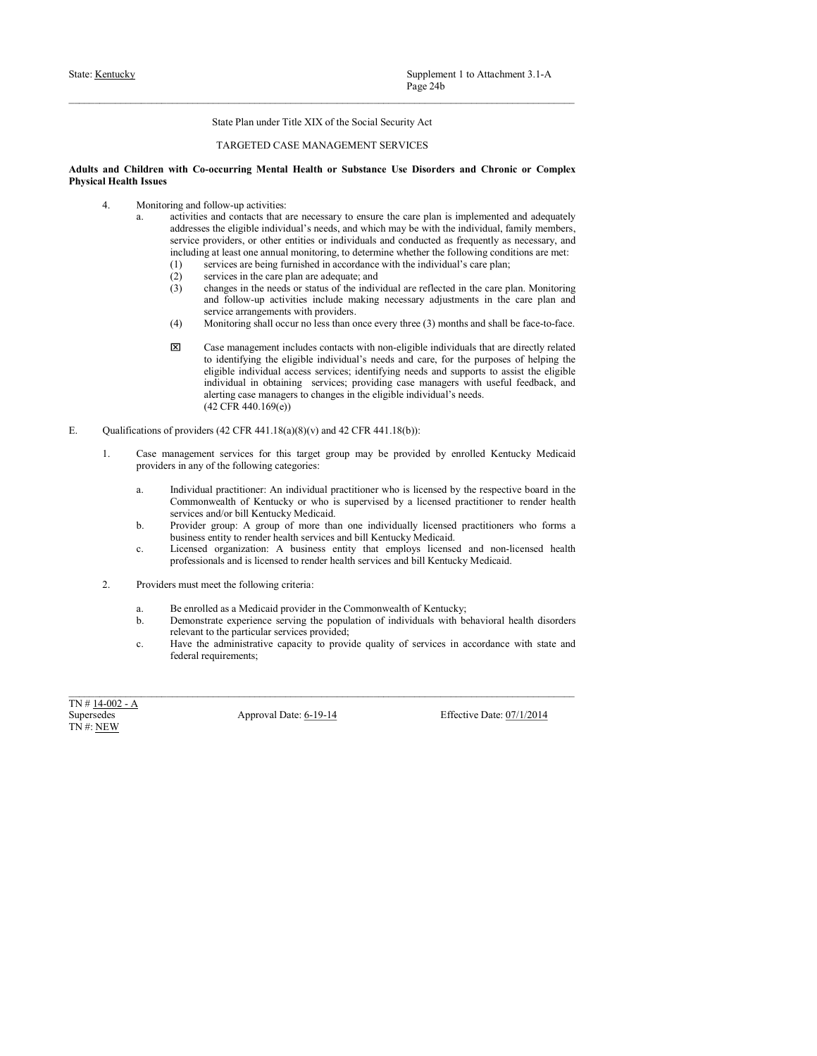# State: <u>Kentucky</u><br>
State: Hentucky<br>
State Plan under Title XIX of the Social Security Act<br>
TARGETED CASE MANAGEMENT SERVICES<br> **Adults and Children with Co-occurring Mental Health or Substance Use Disorders and Chronic or C** Supplement 1 to Attachment 3.1-A<br>
Page 24b<br>
State Plan under Title XIX of the Social Security Act<br>
TARGETED CASE MANAGEMENT SERVICES<br>
ccurring Mental Health or Substance Use Disorders and Chronic or Complex<br>
low-up activit

- 
- State: <u>Kentucky</u><br> **Examplement 1 to Attachment 3.1-A**<br>
Page 24b<br> **Examplement Title XIX of the Social Security Act**<br> **Adults and Children with Co-occurring Mental Health or Substance Use Disorders and Chronic or Complex<br>** State: <u>Kentucky</u><br>
State: <u>Kentucky</u><br>
State Plan under Title XIX of the Social Security Act<br>
TARGETED CASE MANAGEMENT SERVICES<br>
Adults and Children with Co-occurring Mental Health or Substance Use Disorders and Chronic or Supplement 1 to Attachment 3.1-A<br>
Page 24b<br>
State Plan under Title XIX of the Social Security Act<br>
TARGETED CASE MANAGEMENT SERVICES<br> **and Children with Co-occurring Mental Health or Substance Use Disorders and Chronic or** Supplement 1 to Attachment 3.1-A<br>
Page 24b<br>
State Plan under Title XIX of the Social Security Act<br>
iddren<br>
with Co-occurring Mental Health or Substance Use Disorders and Chronic or Complex<br>
Issues<br>
Monitoring and follow-up Supplement 1 to Attachment 3.1-A<br>
Page 24b<br>
State Plan under Title XIX of the Social Security Act<br>
TARGETED CASE MANAGEMENT SERVICES<br>
with Co-occurring Mental Health or Substance Use Disorders and Chronic or Complex<br>
and i Supplement 1 to Attachment 3.1-A<br>
Page 24b<br>
State Plan under Title XIX of the Social Security Act<br>
TARGETED CASE MANAGEMENT SERVICES<br> **with Co-occurring Mental Health or Substance Use Disorders and Chronic or Complex<br>
ing** Supplement 1 to Attachment 3.1-A<br>
<sup>Page</sup> <sup>24b</sup><br>
State Plan under Title XIX of the Social Security Act<br>
TARGETED CASE MANAGEMENT SERVICES<br> **with Co-occurring Mental Health or Substance Use Disorders and Chronic or Complex<br>** Supplement I to Attachment 3.1-A<br>
Page 24b<br>
Tage 24b<br>
State Plan under Title XIX of the Social Security Act<br>
TARGETED CASE MANAGEMENT SERVICES<br>
with Co-occurring Mental Health or Substance Use Disorders and Chronic or Comp Supplement 1 to Attachmoret 3.1-A<br>
Page 24b<br>
State Plan under Tride XIX of the Social Security Act<br>
TARGETED CASE MANAGEMENT SERVICES<br> **TARGETED CASE MANAGEMENT SERVICES**<br>
with Co-occurring Mental Health or Substance Use D Supplement 1 to Attachment 3.1-A<br>
Page 24b<br>
State Plan under Title XLX of the Social Security Act<br>
TARGETED CASE MANAGEMENT SERVICES<br>
with Co-occurring Mental Health or Substance Use Disorders and Chronic or Complex<br>
impar Supplement 1 to Affachment 3.1-A<br>
Page 245<br>
State Plan under Title XIX of the Social Security Act<br>
TARGEETED CASE MANAGEMENT SERVICES<br>
concerting Mental Health or Substance Use Disorders and Chronic or Complex<br>
follow-up a
	-
	-
	-
	-
- Supplement 1 to Attachment 3.1-A<br>Page 24b<br>State Plan under Title XIX of the Social Security Act<br>TARGETED CASE MANAGEMENT SERVICES<br>FORCOLLE TO CASE MANAGEMENT SERVICES<br>FORCOLLE TO CASE MANAGEMENT SERVICES<br>of the providers o Supplement 1 to Attachment 3.1-A<br>
Page 24b<br>
Hage 24b<br>
State Plan under Tele XIX of the Social Security Act<br>
TARGETED CASE MANAGEMENT SERVICES<br>
with Co-occurring Mental Health or Substance Use Disorders and Chronic or Compl Supplement 1 to Attachmont 3.1-A<br>
Plage 24b<br>
State Plan under Trile XIX of the Social Security Act<br>
TARGETED CASE MANAGEMENT SERVICES<br>
TARGETED CASE MANAGEMENT SERVICES<br>
includes approximate the second plane of the contact Supplement 1 to Attachment 3.1-A<br>
Plage 24b<br>
Shate Plan under Trile XIX of the Social Security Act<br>
TARGETED CASE MANAGEMENT SERVICES<br>
TARGETED CASE MANAGEMENT SERVICES<br>
e-eccrrring Mental Health or Substance Use Disorders Supplement 1 to Attachment 3.1-A<br>
<sup>Page</sup> 24h<br>
<sup>Page</sup> 24h<br>
TARGETED CASE MANAGEMENT SERVICES<br>
TARGETED CASE MANAGEMENT SERVICES<br>  $\rightarrow$ evecurring Mental Health or Substance Use Disorders and Chronic or Complex<br>
follow-up act Supplement 1 to Attachment 3.1-A<br>
Prog-24b<br>
State Plan under Trie XIX of the Social Security Act<br>
TARGETED CASE MANAGEMENT SERVICES<br>
vector-tries provides and Chronic or Complex<br>
vector-tries provides and contact but are Supplement I to Attachmont 3.1-A<br>
Irage 24b<br>
Take Plan under Trile XIX of the Social Security Act<br>
TARGETED CASE MANAGEMENT SERVICES<br>
-occurring Mental Health or Substance Use Discorders and Chronic or Complex<br>
follow-up a Supplement 1 to Attachment 3.1-A<br>
Page 24b<br>
State Plan under Trile XIX of the Social Security Act<br>
TARGETED CASE MANAGEMENT SERVICES<br> **-**<br> **- occurring Mental Health or Substance Use Disorders and Chronic or Complex**<br>
fo Page 24b<br>
Since Plan under Trist XIX of the Social Security Act<br>
TARGETTE) CASE: MANAGEMENTS STRVICTS<br>
Adults and Children with Goosecurving Mental Health or Substance Use Disorders and Chronic or Complex<br>
Physical Health Since Plan under Tule XIX of the Social Security Art<br>
and Children with Co-eccurring Mental Health or Substance Use Disorders and Chronic or Complex<br> **IHealth Issues**<br>
4. Monotonic matrix corrections:<br>
a. accivities and c State Plan under Tride XIX of the Social Security Act<br>
T-RRGEETED CASE MANAGEMENT SERVICES<br>
iddream with C-necessary to complex Issues.<br>
iddream and follow-up activities: in any other and categories: and Chronic or Comple TARGETED CASE MANAGEMENT SERVICES<br>
alternative Co-securing Mental Health or Substance Use Disorders and Chronic or Complex<br>
Losses<br>
a. deviation and contact that are necessary to ensure the eare plan is implemented and so min Co-occurring Meatal Health or Substance Use Disorders and Chronic or Complex.<br>
Ingrad follow-up activities are recessary to consure the care plun is implemented and adequately<br>
activities and conducts that are not whi inth Co-occurring Mental Health or Substance Use Disorders and Chronic or Complex<br>ing and follow-up activities:<br>
magnetic finds are necessary to ensure the care plan is implemented and adequately<br>
activities and controls t **ISMENT ACTED ACTS (ACTED ACTS)** and  $\alpha$  groups of more than one individual and solution and solution of more than one individual and solution of more control provides an except and including at least one one in more tha ing and follow-sp activities:<br>
carcines tan consensy to casuare the care plan is implemented and adquastely<br>
encircles and consists that and consense and a formulation and the services and the services providen, or other Montinempo follow-up particles:<br>
a a striving and consider the consideration of the consideration of the consideration of the consideration of the consideration of the consideration of the consideration of the considerati activities and contains that are nonceonly to emach the care plan is implemented and adequately<br>contained to render the care included and constanted as fragmently as necessary, and<br>(()) of generality as one than the servic service providers, or other entities and constrained a frequentity an encessary, and<br>
including at least one annual monitoring, to determine whether the following conditions are met:<br>
(1) services are better functions in **(1)** services are being furnished in according term in the initial scale of the complex of the complete service provider and the complete service provider service managements with providers. Service managements with pro (3) services in the case plane and adequate, and<br>
(3) changes in the meak or status of the multionland are reflected in the case plane and<br>
(4) Monitoring abilities the procedure, the procedure service and the population (3) changes in the relave of statute of the individual are reflered in the care plan. Monitoring service armagements with provides, the more plane are related in the care plane of the particular services provides to the p an dialow op activities include mailed the ministrative capacity adjustments in the case parameter of services capacity to the administrative capacity of the service of services of the bare of services in accordance with (4) Stringtengthen with provides controllaboration in the controllaboration in the controllaboration in the string controllaboration in the string controllation in the string controllation in the string of the string and super a state of the control of the state of the state of the state of the state of the state of the state of the state of the state of the state of the state of the state of the state of the state of the state of the sta
- -
- individual in obtaining services; providing ease managers to change in the eigelbe individual's needs.<br>
(42 CFR 441.18(s)(S)(v) and 42 CFR 441.18(s)):<br>
1. Case management services (a) (SCR 441.18(s)(s)(v) and 42 CFR 441.1
	-
	-
	- -
		-
		-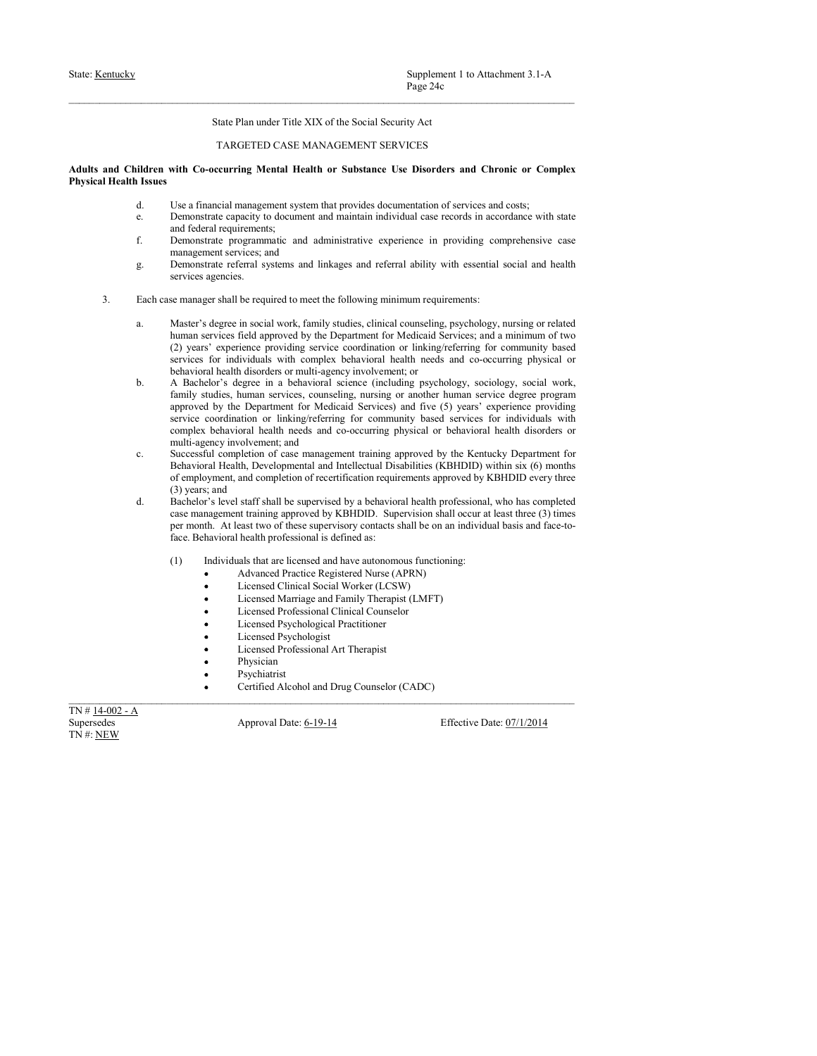# State: <u>Kentucky</u><br>
Page 24c<br>
State Plan under Title XIX of the Social Security Act<br>
TARGETED CASE MANAGEMENT SERVICES<br> **Adults and Children with Co-occurring Mental Health or Substance Use Disorders and Chronic or Complex<br>** Supplement 1 to Attachment 3.1-A<br>
Page 24c<br>
State Plan under Title XIX of the Social Security Act<br>
TARGETED CASE MANAGEMENT SERVICES<br>
ccurring Mental Health or Substance Use Disorders and Chronic or Complex<br>
cial managemen State: <u>Kentucky</u><br>
Page 24e<br>
State Plan under Title XIX of the Social Security Act<br>
Adults and Children with Co-occurring Mental Health or Substance Use Disorders and Chronic or Complex<br>
Physical Health Issues<br>
d. Use a fi State: <u>Kentucky</u><br>
State: <u>Kentucky</u><br>
State Plan under Title XIX of the Social Security Act<br>
TARGETED CASE MANAGEMENT SERVICES<br>
Adults and Children with Co-occurring Mental Health or Substance Use Disorders and Chronic or Supplement 1 to Attachment 3.1-A<br>
Page 24c<br>
State Plan under Title XIX of the Social Security Act<br>
TARGETED CASE MANAGEMENT SERVICES<br>
didren with Co-occurring Mental Health or Substance Use Disorders and Chronic or Complex Supplement 1 to Attachment 3.1-A<br>
Page 24c<br>
State Plan under Title XIX of the Social Security Act<br>
Hardcore CASE MANAGEMENT SERVICES<br>
States<br>
Iddren with Co-occurring Mental Health or Substance Use Disorders and Chronic or Supplement 1 to Attachment 3.1-A<br>
Page 24c<br>
State Plan under Title XIX of the Social Security Act<br>
TARGETED CASE MANAGEMENT SERVICES<br> **and Figure 21.1** Tartiful are Substance Use Disorders and Chronic or Complex<br>
Use a fin **F.** Supplement 1 to Attachment 3.1-A<br>
Page 24c<br>
State Plan under Title XIX of the Social Security Act<br>
TARGETED CASE MANAGEMENT SERVICES<br> **idere** with Co-occurring Mental Health or Substance Use Disorders and Chronic or

- 
- 
- 
- 
- 
- Supplement 1 to Attachment 3.1-A<br>
Page 24c<br>
State Plan under Title XIX of the Social Security Aet<br>
TARGETED CASE MANAGEMENT SERVICES<br>
with Co-occurring Mental Health or Substance Use Disorders and Chronic or Complex<br>
Use a Supplement I to Attachment 3.1-A<br>
Page 24e<br>
Stute Plan under Title XIX of the Social Security Act<br>
TARGETED CASE MANAGEMENT SERVICES<br>
didren with Co-occurring Mental Health or Substance Use Disorders and Chronic or Complex Supplement 1 to Attachment 3.1-A<br>
Prage 24c<br>
State Plan under Title XIX of the Social Security Act<br>
TARGETED CASE MANAGEMENT SERVICES<br>
with Co-occurring Mental Health or Substance Use Disorders and Chronic or Complex<br>
Use Supplement I to Attachment 3.1-A<br>
<sup>Page 24:<br>
State Plan under Title XIX of the Social Security Act<br>
TARGETED CASE MANAGEMENT SERVICES<br>
and Children with Co-occurring Mental Health or Substance Use Disorders and Chronic or</sup> Supplement I to Attachment 3.1- $\Lambda$ <br>
Progre 24c<br>
Sinte Plan under Title XIX of the Social Security Act<br>
TARGETED CASE MANAGEMENT SERVICES<br>
Iddress with Co-occurring Mental Health or Substance Use Disorders and Chronic or Supplement 1 to Attachment 3.1-A<br>
Nuge 24c<br>
Stude Plan under 1 site XLX of the Social Security Act<br>
TARGETED CASE MANAGEMENT SERVICES<br> **EXACUTED CASE MANAGEMENT SERVICES**<br>
Use a function **c** complex<br>
Use Concerning Mental
- Supplement 1 to Attachment 3.1-A<br>
Nage 24e<br>
State Plan under Trile XIX of the Social Security Act<br>
1 AMGE/LID (ANE MANAGEMENT SERVICES<br> **FOR CONSECT CONSECT AND** CONSECT CONSECT CONSECT CONSECT CONSECT<br>
Use a linnearing ma Supplement 1 to Attachment 3.1-A<br> **State Plan under Trie XIX of the Social Security Act**<br> **TARGETED CASE MANAGEMENT SERVICES**<br> **TARGETED CASE MANAGEMENT SERVICES**<br> **TARGETED CASE MANAGEMENT SERVICES**<br> **EXECUTES**<br> **EXECUTES** Supplement 1 to Attachment 3.1-A<br>
Phys-24c<br>
State Plan under Trile XIX of the Social Security Act<br>
TARGETED CASE MANAGEMENT SERVICES<br>
with Co-occurring Mental Health or Substance Use Disorders and Chronic or Complex<br>
tiles Supplement I to Attachment 3.1-A<br> **Examplement Trise XIX of the Social Security Act**<br>
1 TARGETILD CASE MANAGEMINY SCRVICES<br> **Iddent with Co-occurring Mental Health or Substance Use Disorders and Chronic or Complex<br>
1. Use** Supplement 1 to Attachment 3.1-A<br>
State Plan under Trite XIX of the Social Security Act<br>
TARGETED CASE MANAGUMLEY SERVICES<br> **rith Co-ecorring Nearlal Health or Substance Use Disorders and Chronic or Complex<br>
Use finance a** Supplement 1 to Attachment 3.1-A<br>
Note Plan under l'isle XIX of the Social Security Act<br>
TARGEEED CASE MANAGEMENT SERVICES<br>
with Co-occurring Mental Health or Substance Itse Bisorders and Chronic or Complex<br>
Use a firmesi Supplement 1 to Attachment 3.3.4<br>Sinte Plan under Title XIX of the Social Security Act<br>
TARGETED CASE MANAGEMENT SERVICES<br>
THE CO-occurring Mental Health or Substance Lise Disorders and Chronic or Complex<br>
Lise a financia Page 24e<br>
State Plan under Trile XIX of the Social Security Act<br>
1 ARGE/IED CASE MANAGE/MENT SERVICES<br>
with Co-occurring Mental Health or Substance Use Disorders and Chronic or Complex<br>
Devantured co-occurring Mental Healt State Plan under Title XIX of the Social Security Act<br>
TARGETED CASE MANAGEMENT SERVICES<br>
TOROTOTENE (See If and Chronic or Complex<br>
USE a financial mangement system that provides documentation of services and Ostay<br>
USE o Succe Plan under Trile XIX of the Social Security Act<br>
TARGETED CASE MANAGEMENT SERVICES<br>
Misters<br>
Issues<br>
Issues<br>
Issues<br>
Issues<br>
Issues<br>
Issues<br>
Issues<br>
Issues<br>
Issues<br>
Issues<br>
Issues<br>
Issues<br>
Issues<br>
Issues<br>
Complement State Plan under Trife XIX of the Social Security Act<br>
TARGETED CASE MANAGEMENT SERVICES<br>
with Co-societaring Meraldi Itellectual or Substance Use Disorders and Chronic or Complex<br>
Use a financial management system that pr TARGETED CASE MANAGEMENT SERVICES<br>
viring Mental Health or Substance Use Disorders and Chronic or Complex<br>
Uses financial management system that provides documentation of services and costs;<br>
Uses financial management syst TARGETED CASE MANAGEMENT SERVICES<br>
with Co-occurring Mental Health or Substance Use Disorders and Chronic or Complex<br>
Use a financial management system that provides documentation of services and costs;<br>
Use a financial m didren with Co-securring Mental Health or Substance Use Disorders and Chronic or Complex<br>
d. Use a financial amagement system that provides documentation of services and const.<br>
e. Demonstrate expectively to documentation **Conservers Meantal IIealth or Substance Use Disorders and Chronic or Complex<br>Case financial management system that provides documentation of services and contact<br>Chromatiate case in the componentation in the proposition** Use a financial management system that provides documentation of services and costs, valued and followed components, swoment and multian individual case records in accordance with state<br>and folcarl expuessions: swomen and Lies a financial management system that provides decomentation of services and coasts;<br>Demonstrate, equation is characteristical trainition individual case ceareds in a<br>coordinate properation is defined as a diministry in Demonstrate capacity in decurrent and maintain individual case records in accorduce with state<br>can distribute capacity in decurrent and and<br>ministering regressions and and ministering experience in providing comprehensive irements;<br>
irements;<br>
irements and administrative experience in providing comprehensive case<br>
operaments and inkages and referral ability with essential social and health<br>
be required to meet the following minimum requirem ogrammate and eduturisativity experience in providing comprehensive case<br>operative steads<br>which are the stead of the stead of the stead of the required one of the<br>stead of the required connect the following maintain requir views and linkages and referral ability with essential social and health<br>be required to mest the following minimum requirements:<br>in social work, fimily studies, chinical connecting, psychology, nursing or related<br>the appro erm<br>
as:<br>
Second Morel, functions and renewit abundance and reduced to receiver the required to meet the relationships are related<br>
in second Morel Department for Modicald Services, can a minimum of two<br>
missions are relat Sometical to meet the following minimum requirements:<br>
he required to meet the following minimum requirements:<br>
in social work, family studies, clinical counseling, psychology, nursing or related<br>
fied approximation for Me be required to meet the following minimum requirements:<br>
in social words, family studies, clinical counscling, psychology, nusring or related<br>the approved by the Department for Nedelaid Services; and a minimum of two<br>
fiel is required to most use to move the most of the courts of the control of the control of the control of the professional streament for Medical effects; and a minimum of two fields approximates with complete behavioral are p CP) years expecting the result of the coordinate relation in the counselor between the spectral and the spectral and the spectral and the spectral and the spectral and the spectral and the spectral and the spectral and th b. A Baschelo is degree in a behavioral science (addition) associated to the content of the system as the particle of the content of the content of the content of the content of the content of the content of the content o finity staties, himma services, connecting, nurising or another human service degree<br>approved by the Department for Mediciald Services) and five (5) years' experience occur<br>service coordination or linking-referring for co
	-
	- - -
			-
			-
			-
			-
			-
			-
			-
			- Physician
			- Psychiatrist
				-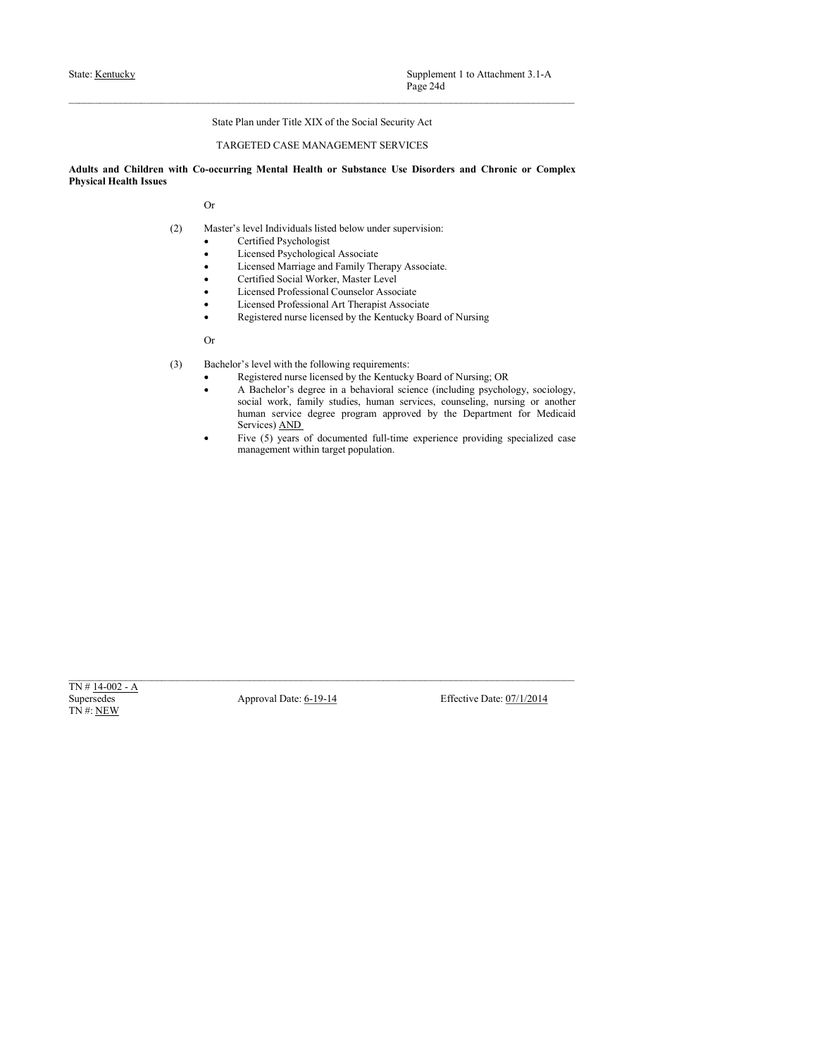$\small \begin{tabular}{lcl} \textbf{State:} & \textbf{Sentucky} & \textbf{Supplement 1 to Atachment 3.1-A} \\ \textbf{Page 24d} & & \textbf{State Plan under Title XIX of the Social Security Act} \\ \textbf{State Plan under Title XIX of the Social Security Act} & \textbf{TARGE MANAGEMENT SERVICES} \\ \textbf{Aduits and Children with Co-occurring Mental Health or Substance Use Disorders and Chronic or Complex  
Physical Health Issues \\ \textbf{Or} & & \textbf{Orr} & & \textbf{Orr} & & \textbf{Orr} \\ \end{tabular}$ Supplement 1 to Attachment 3.1-A<br>
Page 24d<br>
State Plan under Title XIX of the Social Security Act<br>
TARGETED CASE MANAGEMENT SERVICES<br>
Securing Mental Health or Substance Use Disorders and Chronic or Complex<br>
ster's level I State: <u>Kentucky</u><br>
Page 24d<br>
State Plan under Title XIX of the Social Security Act<br>
Adults and Children with Co-occurring Mental Health or Substance Use Disorders and Chronic or Complex<br>
Physical Health Issues<br>
Or<br>
(2) Mas State: <u>Kentucky</u><br>
State: <u>Kentucky</u><br>
State Plan under Title XIX of the Social Security Act<br>
TARGETED CASE MANAGEMENT SERVICES<br>
Adults and Children with Co-occurring Mental Health or Substance Use Disorders and Chronic or Supplement 1 to Attachment 3.1-A<br>
Page 24d<br>
State Plan under Title XIX of the Social Security Act<br>
TARGETED CASE MANAGEMENT SERVICES<br>
with Co-occurring Mental Health or Substance Use Disorders and Chronic or Complex<br>
Or<br>
C Supplement 1 to Attachment 3.1-A<br>
Page 24d<br>
Plan under Title XIX of the Social Security Act<br>
GETED CASE MANAGEMENT SERVICES<br>
ing Mental Health or Substance Use Disorders and Chronic or Complex<br>
slevel Individuals listed be Supplement 1 to Attachment 3.1-A<br>
Plage 24d<br>
Plan under Title XIX of the Social Security Act<br>
GETED CASE MANAGEMENT SERVICES<br>
ing Mental Health or Substance Use Disorders and Chronic or Complex<br>
is level Individuals listed Supplement 1 to Attachment 3.1-A<br>
Page 24d<br>
Plan under Title XIX of the Social Security Act<br>
CIETED CASE MANAGEMENT SERVICES<br>
ing Mental Health or Substance Use Disorders and Chronic or Complex<br>
atevel Individuals listed b Supplement 1 to Attachment 3.1-A<br>
Page 24d<br>
Plan under Title XIX of the Social Security Act<br>
GETED CASE MANAGEMENT SERVICES<br>
ing Mental Health or Substance Use Disorders and Chronic or Complex<br>
isoevel Individuals listed b Supplement 1 to Attachment 3.1-A<br>Page 24d<br>Plan under Title XIX of the Social Security Act<br>CETED CASE MANAGEMENT SERVICES<br>ing Mental Health or Substance Use Disorders and Chronic or Complex<br>Registered Professional Counselor Supplement 1 to Attachment 3.1-A<br>
Page 24d<br>
Plan under Title XIX of the Social Security Act<br>
CGETED CASE MANAGEMENT SERVICES<br>
ing Mental Health or Substance Use Disorders and Chronic or Complex<br>
level Individuals listed be Supplement 1 to Attachment 3.1-A<br>
Page 24d<br>
Plan under Title XIX of the Social Security Act<br>
GETED CASE MANAGEMENT SERVICES<br>
ing Mental Health or Substance Use Disorders and Chronic or Complex<br>
level Individuals listed bel

Or

- -
	-
	-
	-
	-
	-
	-

- -
- Supplement 1 to Attachmout 3.1-A<br>
Page 24d<br>
State Plan under Tride XIX of the Social Security Act<br>
TARGETED CASE MANAGEMENT SERVICES<br>
with Co-occurring Mental Health or Substance Use Disorders and Chronic or Complex<br>
Corri Supplement I to Attachment 3.1-A<br>
Plan under Title XIX of the Social Security Aet<br>
CGTED CASE MANAGEMENT SERVICES<br>
ing Mental Health or Substance Use Disorders and Chronic or Complex<br>
<br>
Level Individuals listed below under Supplement 1 to Attachment 3.1-A<br>
Page 24d<br>
Page 24d<br>
CGTED CASE MANAGEMENY SERVICES<br>
ing Mental Health or Substance Use Disorders and Chronic or Complex<br>
ing Mental Health or Substance Use Disorders and Chronic or Complex Supplement 1 to Attachment 3.1-A<br>
Plan under Title XIX of the Social Security Act<br>
CGETED CASE MANAGEMENT SERVICES<br>
ing Mental Health or Substance Use Disorders and Chronic or Complex<br>
Level Individuals listed below under Supplement I to Attachment 3.1-A<br>
Supplement Finle XIX of the Social Security Act<br>
CGETED CASE MANAGEMENT SERVICES<br>
ing Mental Health or Substance Use Disorders and Chronic or Complex<br>
Level Individuals Listed below under **Page 24d**<br> **Page 24d**<br> **Page 24d**<br> **CETED CASE MANAGEMINT SERVICES**<br> **EGTED CASE MANAGEMINT SERVICES**<br> **EGTED CASE MANAGEMINT SERVICES**<br> **EGTED CASE MANAGEMINT SERVICES**<br> **EVALUE MANAGEMINT SERVICES**<br> **EVALUE CASE MANAGEM** Plan under Title XIX of the Social Security Ast<br>
GGETED CASE MANAGEMENT SERVICES<br>
ing Mental Health or Substance Use Disorders and Chronic or Complex<br>
Level Individuals listed below under supervision:<br>
Leveland Phytoholog Plan under Title XIX of the Social Security Act<br>
diciTED CASE MANAGEMENT SERVICES<br>
ing Mental Health or Substance Use Disorders and Chronic or Complex<br>
level Individuals listed below under supervision:<br>
Licensel Physiologi On<br>
CB Like-hole of level with the following requirements:<br>
Repletered nure licensed by the Kenneley Pole and Section (including psychology, sociology,<br>
Scalin Werk, finally studies, Junami services counciling a pushing o (3) Bacholov's level with the Gilboring requirements) the Kartaky Beard of Nursing: OR<br>
Actual Date: 4-diges in a featured starts, council provides, consider<br>
Approximate scale of the Supersedes Approximation of the CO Mo (3) Excelent Section the following expurements:<br>
Registered nurse licensed by the Kentucky Board of Nursing: OR<br>
A Bachelor's degree in a behavioral science (including psychology,<br>
accal work, family studies, human servic
	-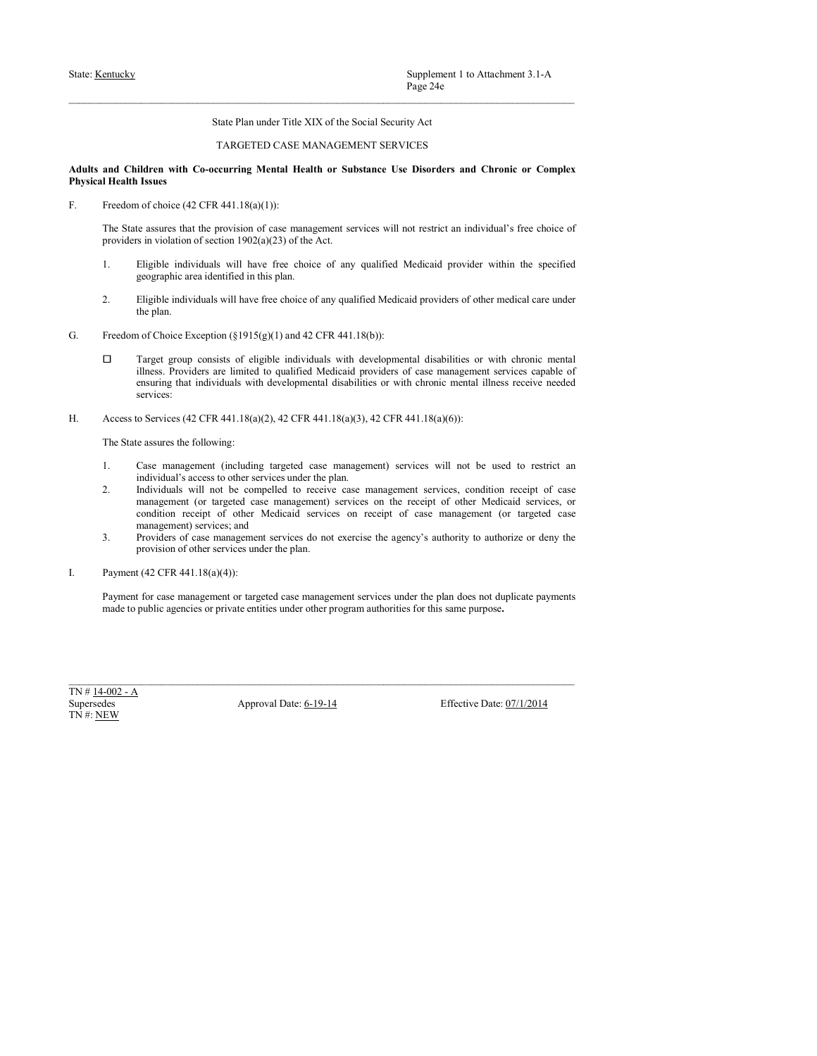# State: <u>Kentucky</u><br>
Page 24e<br>
State Plan under Title XIX of the Social Security Act<br>
TARGETED CASE MANAGEMENT SERVICES<br> **Adults and Children with Co-occurring Mental Health or Substance Use Disorders and Chronic or Complex<br>** Supplement 1 to Attachment 3.1-A<br>
Page 24e<br>
State Plan under Title XIX of the Social Security Act<br>
TARGETED CASE MANAGEMENT SERVICES<br>
ccurring Mental Health or Substance Use Disorders and Chronic or Complex<br>
text 441.18(a) State: <u>Kentucky</u><br> **Adults and Children with Co-occurring Mental Health or Substance Use Disorders and Chronic or Complex<br>
Adults and Children with Co-occurring Mental Health or Substance Use Disorders and Chronic or Comp** State: <u>Kentucky</u><br>
State: <u>Kentucky</u><br>
State Plan under Title XIX of the Social Security Act<br>
TARGETED CASE MANAGEMENT SERVICES<br>
Adults and Children with Co-occurring Mental Health or Substance Use Disorders and Chronic or State: <u>Kentucky</u><br>
State: Henn under Title XIX of the Social Security Act<br>
TARGETED CASE MANAGEMENT SERVICES<br>
Adults and Children with Co-occurring Mental Health or Substance Use Disorders and Chronic or Complex<br>
Frysical

Supplement 1 to Attachment 3.1-A<br>
Tage 24e<br>
State Plan under Trile XIX of the Social Security Act<br>
TARGETED CASE MANAGEMENT SERVICES<br>
and Children with Co-occurring Mental Health or Substance Use Disorders and Chronic or C Supplement 1 to Attachment 3.1-A<br>
Page 24e<br>
State Plan under Title XIX of the Social Security Act<br>
TARGETED CASE MANAGEMENT SERVICES<br>
and Children with Co-occurring Mental Health or Substance Use Disorders and Chronic or C Supplement 1 to Attachment 3.1-A<br>
2. State Plan under Title XLX of the Social Security Act<br>
2. TARGETED CASE MANAGEMENT SERVICES<br>
and Children with Co-occurring Mental Health or Substance Use Disorders and Chronic or Compl Supplement 1 to Attachment 3.1-A<br>
Page 24e<br>
State Plan under Title XIX of the Social Security Act<br>
TARGETED CASE MANAGEMENT SERVICES<br>
didren with Co-occurring Mental Health or Substance Use Disorders and Chronic or Complex

- 
- 
- 
- **2.** Eligible individuals will have free choice of any qualified Medicaid providers of any care under the section 1902 (NAC TARGETED CASE MANAGEMENT SERVICES<br> **2.** EMELY TARGETED CASE MANAGEMENT SERVICES<br>
THE CHOICE OF A Supplement 1 to Attachment 3.1-A<br>
Page 24e<br>
State Plan under Title XIX of the Social Security Act<br>
TARGETED CASE MANAGEMENT SERVICES<br>
ildren with Co-occurring Mental Health or Substance Use Disorders and Chronic or Complex Sure: **Ecanolay**<br>
State Plan under Tole XIX of the Social Security Act<br>
TARGETED CASE MANAGEMENTS ERVICES<br>
Adults and Children with Co-eccentring Mental Health or Substrace Use Disorders and Chronic or Complex<br>
Physical H Supplement 1 to Attachment 3.1-A<br> **Enge 24c**<br>
Since Plan under Title XIX of the Social Security Act<br>
TARGETED CASE MANAGEMENT SERVICES<br>
Hatter<br> **Interaction with Co-occurring Mental Health or Substance Use Disorders and C** Supplement 1 to Attachment 3.1-A<br>
Page 24c<br>
State Plan under Title XIX of the Social Security Act<br>
TARGETED CASE MANAGEMENT SERVICES<br>
Hitlers with Co-securiting Mental Health or Substance Use Disorders and Chronic or Comp Supplement I to Attachment 3.1-A<br> **Enge 24e**<br>
Since Plan under Title XIX of the Social Security Act<br>
TARGETLIJ CASE MANAGEMINT SURVICUS<br> **Ishere**<br> **Notice that Co-occurring Mental Health or Substance Use Disorders and Chr** services: Sunc Equality<br>
Sunc Plan under Title XIX of the Social Socurity Act<br>
TARGETED CASE MANAGEMENT SERVICES<br>
Addits and Christen with Co-recurring Mental Health or Substance Ive Diverses and Chronic or Complex<br>
Physical Health **State Plan under Title XIX of the Social Security Act**<br> **TARGETED CASE MANAGEMENT SERVICES**<br> **Examplementation Concerning Mental Health or Substance Use Disorders and Chronic or Complex<br>
<b>IHealth Issues**<br> **Erection of ch** Since Plan under Table XIX of the Social Security Art<br>
and Children with Co-occurring Mental Istahla or Substance Use Disorders and Chronic or Complex<br>
Hersch Issues: due the provision of easte management services will no TARGETED CASE MANAGEMENT SERVICES<br>
if there with Co-occurring Mental Health or Substance Use Disorders and Chronic or Complex<br>
Insurance Use Disorders and the provision of case management services will not restrict an ind **2.** Individuals with Constrainers of contentrial Health or Substance Use Disorders and Chronic or Complex IHealth Issues<br>
Trackine fictoric C2 CTR 441-1860(1):<br>
The Such associated to receive compensation of excels manag isteres with Co-securing Mental Health or Substance Use Disorders and Chronic or Complex<br>Issues of colocies (42 CFR 441.180(U)):<br>
to choice (42 CFR 441.180(U)):<br>
to susters that the provision of case management services w different with Co-securing Mental IIcalith or Substance Use Disorders and Chronic or Complex<br>Issues: a considerable the provision of ease management services will not restrict an individual's five choice of<br>a winding of s **1 sures**<br>
1 sures<br>
or forbolce (42 CFR 441.18(a)(1)):<br>
no forbolce (42 CFR 441.18(a)(1)):<br>
i.e. examples that the provision of case management services will not restrict an individual's free choice of<br>  $\hat{n}$  in violatio Erecolon of choics (42 CFR 441.18(a)(1)):<br>
The State serves that the providers of case management services will not restrict an inclividual's free choics of<br>
Troviders in volution of section 1907(a)(23) of the Act.<br>
1. El of choice (42 CFR 441.18(a)(1)):<br>
of of absents that the provision of case management services will not restrict an individual's free choice of<br>
is a violation of section 1992(a)(23) of the Aet.<br>
Eligible individuals will The State assures that the provision of case management revices will not restrict an individual's free choice of<br>provides in violation of section 1902(a)(23) of the Ast.<br>1. Eligible individuals will have free choice of an Englishs individuals will have free choice of any qualified Medicaid provider within the splane error deviation in this plane.<br>
2. Elignishs restricted in this plane.<br>
Transport stearchine of the plane of the splane of th 1. This has has the purpose of the particular same purpose. Latter the purpose of the purpose. This purpose of the purpose of the purpose of the purpose of the purpose of the purpose of the purpose. The purpose of the pur

- 
- Super considered and algebra individuals with developmental distribution with developmental consideration<br>
Hines, Provides and Hernical Date: 10-11-18(a)(2), 42 CHz 441.18(a)(b)), 22 CHz 441.18(a)(b):<br>
The State assume t ilness. Providers are limited to qualified Medicaid providers of case management services<br>
ensuring that individuals with developmental disabilities or with chronic mental illness receives<br>
services:<br>
Access to Services (
	-
-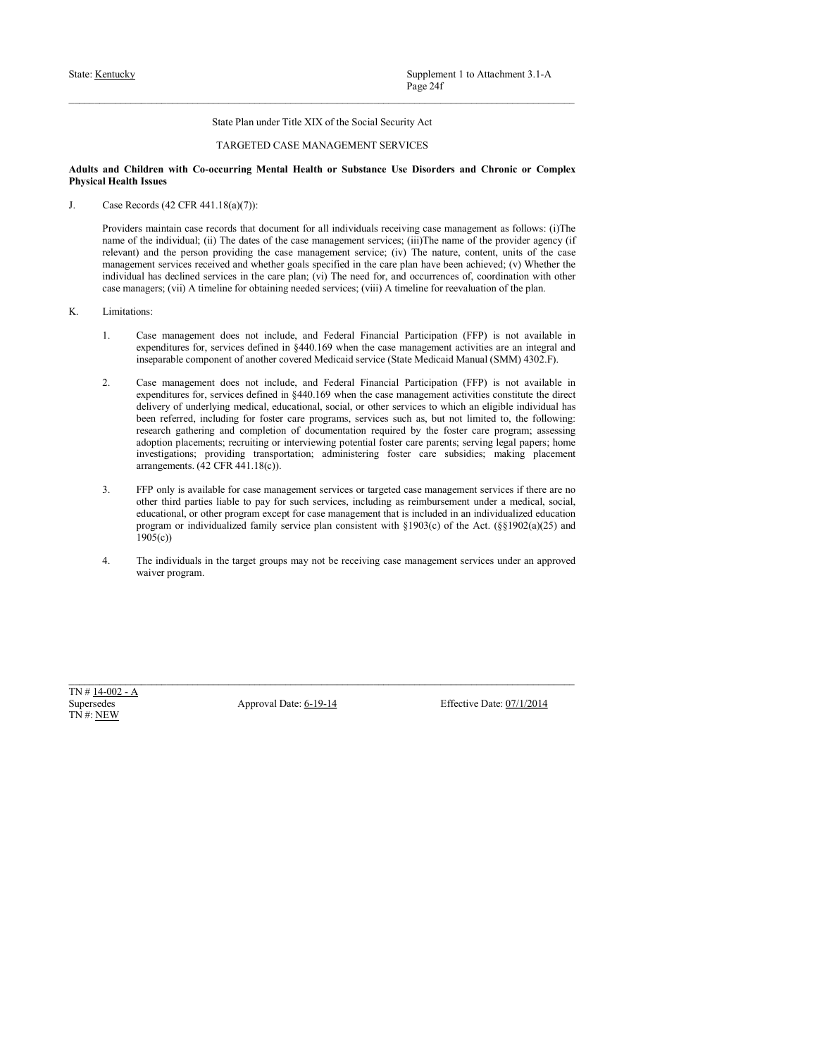# State: <u>Kentucky</u><br>
Page 24f<br>
Page 24f<br>
State Plan under Title XIX of the Social Security Act<br>
TARGETED CASE MANAGEMENT SERVICES<br> **Adults and Children with Co-occurring Mental Health or Substance Use Disorders and Chronic o** Supplement 1 to Attachment 3.1-A<br>
Page 24f<br>
State Plan under Title XIX of the Social Security Act<br>
TARGETED CASE MANAGEMENT SERVICES<br>
ccurring Mental Health or Substance Use Disorders and Chronic or Complex<br>  $1.8(a)(7)$ ):<br>
c

State: <u>Kentucky</u><br>
Page 24f<br>
State Plan under Title XIX of the Social Security Act<br> **Adults and Children with Co-occurring Mental Health or Substance Use Disorders and Chronic or Complex<br>
Physical Health Issues<br>
J. Case Re** State: <u>Kentucky</u><br>
State: <u>Kentucky</u><br>
State Plan under Title XIX of the Social Security Act<br>
TARGETED CASE MANAGEMENT SERVICES<br>
Adults and Children with Co-occurring Mental Health or Substance Use Disorders and Chronic or State: <u>Kentucky</u><br>
State: Hentucky<br>
State Plan under Title XIX of the Social Security Act<br>
TARGETED CASE MANAGEMENT SERVICES<br> **Adults and Children with Co-occurring Mental Health or Substance Use Disorders and Chronic or C EXECUTE:** Supplement 1 to Attachment 3.1-A<br>
Proge 24f<br> **Providers manner of the SCC ASE MANAGEMENT SERVICES**<br> **Providers manner for all individuals receiving case management as follows: (i)The<br>
<b>Providers mating of the in EXECUTE:** Supplement 1 to Attachment 3.1-A<br> **Page 24f**<br>
State Plan under Title XIX of the Social Security Act<br>
and Children with Co-occurring Mental Health or Substance Use Disorders and Chronic or Complex<br>
Health Issues **EXECUTE:** Supplement 1 to Attachment 3.1-A<br>
Page 24f<br>
State Plan under Title XIX of the Social Security Act<br>
and Children with Co-occurring Mental Health or Substance Use Disorders and Chronic or Complex<br>
Illealth bases<br> management services received and whether services received and control of the care management services received and Children with Co-occurring Mental Health or Substance Use Disorders and Chronic or Complex Health Issues<br> Supplement 1 to Attachment 3.1-A<br>
Page 24f<br>
Stute Plan under Title XIX of the Social Security Act<br>
TARGETED CASE MANAGEMENT SERVICES<br>
and Children with Co-occurring Mental Health or Substance Use Disorders and Chronic or C Supplement 1 to Attachment 3.1-A<br>
Page-24f<br>
State Plan under Title XIX of the Social Security Act<br>
TARGETED CASE MANAGEMENT SERVICES<br>
and Children with Co-occurring Mental Health or Substance Use Disorders and Chronic or C State: <u>Kentucky</u><br> **Supplement 1 to Attachment 3.1**<br>
Page 24f<br>
State Plan under Title XIX of the Social Security Act<br>
Page 24f<br>
State Plan under Title XIX of the Social Security Act<br>
Adults and Children with Co-occurring M **Supplement I to Attachment 3.1-A**<br> **Sunce Plan under Title XIX of the Social Security Act**<br> **Sunce Plan under Title XIX of the Social Security Act**<br> **and Childera with Co-occurring Mental Health or Substance Use Disorder** Supplement 1 to Attachment 3.1-A<br>
State Plan under Trile XIX of the Social Socialy Act<br>
State Plan under Trile XIX of the Social Socialy Act<br>
identical Conservation Conservation Conservation Conservation Conservation<br>
Int Sure Plan under Title XIX of the Social Security Act<br>
Page 24f<br>
Since Plan under Title XIX of the Social Security Act<br>
TARGETED CASE MANAGEMENT SERVICES<br>
Instead of a<br>
Internet with Co-occurring Mental Health or Substance

- -
- 2. Supplement 1 to Attachment 2.1-A<br>
2. Page 24f<br>
2. Simure Plan under Tule XIX of the Social Security Act<br>
2. TARGETED CASE MANAGEMENT SERVICES<br>
2. THEODIS ARREST CASE MANAGEMENT SERVICES<br>
2. THEODIS ARREST INCLUSE THE C Supplement 1 to Attochment 3.1-A<br> **Proper 247**<br>
State Plan under Trile XIX of the Social Security Act<br>
(TARGETEE) CASE: MANAGEMENT SEHVICES<br> **Referent with Co-eccurring Mental Health or Substance Use Disorders and Chronic** Surplement 1 to Atlachment 3.1-A<br>State Plan under Trick XIX of the Social Security Art<br>
TARGEEED CASE MANAGEMENT SERVICES<br>
differe with Co-securing Mental Health or Substract Use Disorders and Chronic or Complex<br>
Issues<br> Supplement 1 to Attachment 7.1-A Separator  $\frac{1}{2}$  Supplement such that  $\frac{1}{2}$  Chapter  $\frac{1}{2}$  The Chapter Care care propriate the state of the Substitute of the Substitute of  $\frac{1}{2}$  Chapter Care and Chapter Car **Example 12**<br>
State Flam under Trile XIX of the Social Security Act<br>
interaction of the Concerning Mental Health or Substance Use Disorders and Chronic or Complex<br>
Instead of 2 CFR 441.18(o)(7)):<br>
Instead of the completio State Plan under Trile XIX of the Social Security Act<br>
TARGETED CASE MANAGEMENT SERVICES<br>
Hansen<br>
Hansen variety and Chronic or Complex<br>
Hansen variety and Chronic or Complex<br>
states (42 CPR 441.18(o)(7)):<br>
as maintain ca State Plata under Trile XIX of the Social Security Act<br>
TARGETED CASE MANAGEMENT SERVICES<br>
identerations; complex<br>
Issues<br>
Issues<br>
Issues<br>
Issues<br>
Issues<br>
Issues<br>
Issues<br>
Corols (42 CFR 441.18(o)(7)):<br>
Corols (42 CFR 441. State Plan under Title XIX of the Social Security Act<br>
TARGETED CASE MANAGEMENT SERVICES<br>
ildren with Co-occurring Mental Health or Substance Use Disorders and Chronic or Complex<br>
Issues<br>
issues<br>
conds (42 CFR 441.18(a)(7 **3.** TARGETED CASE MANAGEMENT SERVICES<br> **State Excelusion and Christian** or **Substance** Use Disorders and Christian Issues<br>
The only is available for case management services of  $(37\text{Hz})$ .<br>
Case Records (42/78 441) Regiv Interes with Co-securing Mental Health or Substance Use Disorders and Chronic or Complex<br>
Instead of 42 CFR 441.18(o)(7)):<br>
consided as records that document for all individuals receiving case management as follows: (i)Th distribute with Co-securing Mestal IIcalth or Substance Use Disorders and Chronic or Complex coords (42 CFR 441.18(o)7):<br>
Leads Cassimalia case conside that document for all individuals receiving case management as follow **ISSUES**<br>
conde (42 CFR 441.18(s)(7)):<br>
constrainting case records that document for eall individualis receiving case management as follows: (i))The case<br>
in incidividual, (ii) The dustries of the case management service; Providers maintain case records that decument for all individuals receiving case management as follows: (i)The receive measurement are entire corresponding the case measurement services (b). The name, contents and the pro is maintain case records that document for all individuals receiving ease management as follows: (ii)The mann of the provider agency (if the the reson provider as the case management services; (iii)The name of the provider αφρασίατος for a services of<br>since in response to density the 600 when the case namagement of wively<br>also approach to the service of the since the since the since properties<br>operations for the service of the since the s Supersede Approach of another oscience and Modella developed Modella (MOM) 4502 P.<br>
Supersed Approximation of the state of the state of the state of the state of the state of the state of the state of the state of the sta 2. Case management does not include, and Federal Financial Participation (FIP) is not at expenditures for, sevivae defined in §440.169 when the case management activities constituted in the definition of definitions const
	- $1905(c)$
	-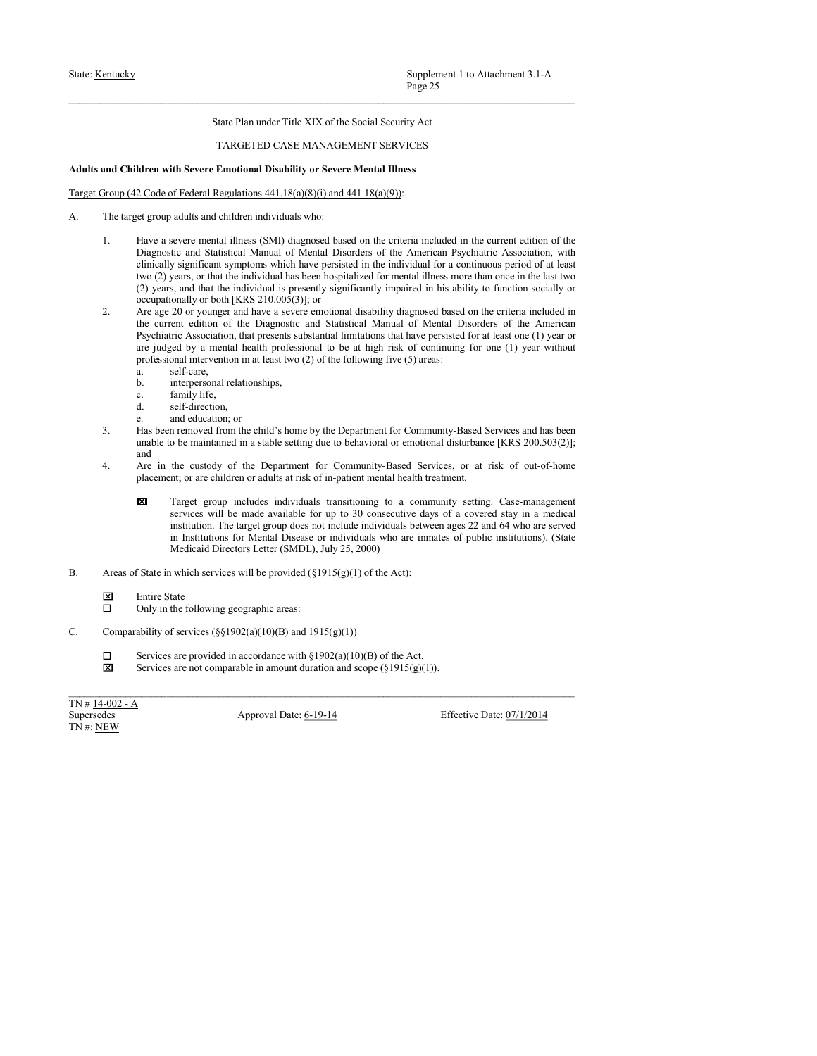# State: <u>Kentucky</u><br>
State: Plan under Title XIX of the Social Security Act<br>
TARGETED CASE MANAGEMENT SERVICES<br>
Adults and Children with Severe Emotional Disability or Severe Mental Illness<br>
Target Group (42 Code of Federal

- 
- State: <u>Kentucky</u><br>
Fage 25<br>
State Plan under Title XIX of the Social Security Act<br>
TARGETED CASE MANAGEMENT SERVICES<br> **Adults and Children with Severe Emotional Disability or Severe Mental Illness**<br>
Target Group (42 Code o State: <u>Kentucky</u><br>
State: Henn under Title XIX of the Social Security Act<br>
TARGETED CASE MANAGEMENT SERVICES<br> **Adults and Children with Severe Emotional Disability or Severe Mental Illness**<br>
Target Group (42 Code of Tedera State: <u>Kentucky</u><br> **State: Plan under Title XIX of the Social Security Act**<br> **Plage 25**<br> **Adults and Children with Severe Emotional Disability or Severe Mental Illness**<br> **Adults and Children with Severe Emotional Disabilit EXECUTE:** Supplement 1 to Attachment 3.1-A<br> **1. Have a set of the Social Security Act**<br> **1. HAVE ANTE CONFORT SERVICES**<br> **1. Have a severe mentional Disability or Severe Mental Illness**<br> **1.** Have a severe mental illness Supplement 1 to Attachment 3.1-A<br>
Physe 25<br>
State Plan under Title XIX of the Social Security Act<br>
TARGETED CASE MANAGEMENT SERVICES<br>
Iden with Severe **Enotional Disability or Severe Mental Illness**<br>
2Code of Federal Regu Supplement 1 to Attachment 3.1-A<br>
Prog-2.5<br>
Stute Plan under Title XIX of the Social Security Act<br>
TAROETED CASE MANAGEMENT SERVICES<br> **Identity of Severe Emotional Disability or Severe Mental Illness**<br>
2. Code of Federal R Supplement 1 to Attachment 3.1-A<br>  $P_2g_2 \geq 5$ <br>
Sinte Plan under Title XIX of the Social Security Act<br>
TARGETED CASE MANAGEMENT SERVICES<br>
Idrea with Severe Emotional Disability or Severe Mental Illness<br>
2Code of Federal Supplement 1 to Attachment 3.1-A<br> **Fage 25**<br>
State Plan under Title XIX of the Social Security Act<br>
TARGETED CASE MANAGEMENT SERVICES<br>
Ident with Severe Emotional Disability or Severe Mental Illness<br>
or group adition soci Supplement 1 to Attachment 3.1-A<br>
Page 25<br>
State Plan under Title XIX of the Social Security Act<br>
TARGETED CASE MANAGEMENT SERVICES<br>
Identity of the Social Security Act<br>
Identity of the Social Security Act<br>
Identity of Se **2.** Supplement 1 to Attachment 3.1-A<br> **2.** Franchise Ethis with the Since 20 or Paul Content 2.1-A<br> **2.** TARGETED CASE MANAGEMENT SERVICES<br> **2.** TARGETED CASE MANAGEMENT SERVICES<br> **2.** Are a severe promotional Disability Supplement I to Attachment 3.1- $\Lambda$ <br>
Page 25<br>
Sinte Plan under Trile XIX of the Social Security Act<br>
TRAGETED CASE MANAGEMENT SERVICES<br>
Identical Manual Of the Current edition of the Current edition of the Current edition Supplement 1 to Attachment 3.1-A<br>
Page 2.5<br>
Situe Plan under Title XIX of the Social Security Act<br>
TARCETED CASE MANAGEMENT SERVICES<br>
Edication with Severe Emetionial Disability or Severe Meatal Illines<br>
2. Code of Federa Supplement 1 to Attachment 3.1-A<br>
State Plan under Trile XIX of the Social Security Act<br>
TARCEED CASE MANAGEMENT SERVACES<br>
There is a mental health professional to be a mental health professional to be a mental these<br>
L'a Supplement 1 to Attachment 3.1-A<br> **Professional intervention in a state of the Social Security Act**<br>
TARGETED CASE MANAGEMENT SERVICES<br> **Education in Attachment Intervention in a state of the following five of the followi** Supplement 1 to Attachment 3.1-A<br>
Page 25<br>
Sute Plan under Title XIX of the Social Security Act<br>
TARGETED CASE MANAGEMENT SERVICES<br> **Examplement with Severe Emotional Disability or Severe Mental Illness**<br> **Examplement wit** Supplement 1 to Attachment 3.1-A<br> **Examplement 1 to Attachment 3.1-A**<br> **Examplement 1 to Attachment 3.1-A**<br> **Examplement of TARGETED CASE MANAGEMENT SERVICES**<br> **Examplement with Severe Emotional Disability or Severe Menta** Supplement 1 to Attachment 3.1-A<br>
Page 25<br>
State Plan under Title XIX of the Social Security Act<br>
TARGETED CASE MANAGEMENT SERVICES<br>
Idren with Severe Emotional Disability or Severe Mental Ilness<br>
Idren with Severe Emotio Supplement 1 to Attachment 3.1-A<br>
Page 25<br>
Sute Plan under Title XIX of the Social Security Act<br>
TARGETED CASE MANAGEMENT SERVICES<br>
Iddentify or Severe Mental Illness<br>
2Code of Federal Regulations 441.18(a)(8)(i) and 441. Sure Plan under Title XIX of the Social Sceniul's Art<br>
Fappe 25<br>
State Plan under Title XIX of the Social Sceniuly Act<br>
TARGETED CASE MANAGEMENT SERVICES<br>
Identify Severe Emptional Disability or Severe Mental Illness<br>
2 C **Example 18.** Since Plan under Tole XIX of the Society Art<br>
18. HAS been removed from the child of the child of the child state of the child of the child<br>
18. Has the child of Community-Based Services and the child of Dep Sure Plan under Title XIX of the Social Security Act<br>
TARGETED CASE MANAGEMENT SERVICES<br>
Identity of the main of the main of the main of the main of the main of the main of the main of the group and the main of the main o Sime Plan under Tube XIX of the Social Security Art<br>
and Childrene with Severe Emotional Disability or Severe Neutral History<br>
Engels and Childrene with Severe Emotional Disability or Service Neutral History<br>
The target g TARGETED CASE: MANAGEMENT SYERV(CES<br>
Code of Foctoral Regulations 441.18(a)(8))(1) and 441.18(a)(9)):<br>
Code of Foctoral Regulations at risk of in-patient mental health transfer at risk of in-patient mental health treatmen th Severe Enotional Disability or Severe Mental Illness<br>of Federal Regulations 441.18(a)(S)(i) and 441.18(a)(S)):<br>where we read already and the convert group includes include the community of the community of the communit ith Severe Emotional Disability or Severe Montal Illness<br>
refrectional dealers and stations of the LI Sin/SiN consecutive days of a consecutive service means and available for the mean of the services means and stational of Federal Regulations 441.18(a)(8)(i) and 441.18(a)(9)):<br>
adults and children individuals who:<br>
severe mentail illuses (SMI) diagramed bluestock that determines a properties association, with<br>
the end Similation Manual o if Excheral Begulations 441.18(a)(Si)) and 441.18(a)(Si))?<br>
and a dictured included in the current efficiency and one or increase or or increase or increase or increase or increase of the Aren's phase of the Aren's and Si adults and children individuals who:<br>severe mental illness (SMDL) diagrased based on the criteria included in the current estition of the<br>six can Statistical Manual of Metaal Disorders of the American Psychiatric Associat B. Brows a severe meant inhere (SMT) dismeded beed on the cristic indetection the cristical of the action of the state in the cristical of the basic control of the state in the provided in case of the state in the provide
- Diagnostic and Statistical Manual of Mortal Disorders of the American Psychiatric Association, with<br>Crimically significant symptoms which have persisted in the individual for a continuous period of at least<br>vtwo (2) years elimitedly significant symptoms which have persisted in the individual for a continuous period of all least two<br>coverages of the state of the following system of the following correlation of the state of the state of the C. Such and the initial in is a procedured in the ability to find the simulation of the comparison of the comparison of the Degree of the Comparison of Mendi Degree of the Comparison of the Comparison of the Comparison of
	-
	-
	-
	-
	-
	- and
	-
- Are go 20 or youngs and laws a sevec considerable initial proposes and based on the criteria included in<br>the correct distribution of the Dagenois and Statistical Musual of Meridi Doredes of the American<br>projection in the Services are not comparable in a comparable in a comparable in a scope (§1915). The not comparable in a comparable in a comparable in a comparable in a comparable in a comparable in a comparable in a comparable in a compa **Example and the substrates Apple the set of the set of the set of the set of the set of the set of the set of the set of the set of the set of the set of the set of the set of the set of the set of the set of the set of** b. interpresental relationships,<br>
c. finingly life,<br>
c. finingly life,<br>
d. self-direction,<br>
e. finingly life,<br>
d. self-direction,<br>
e. and education, or<br>
e. and education, or<br>
c. and education, or<br>
c. and education a stabl
- -
	-
- -
	-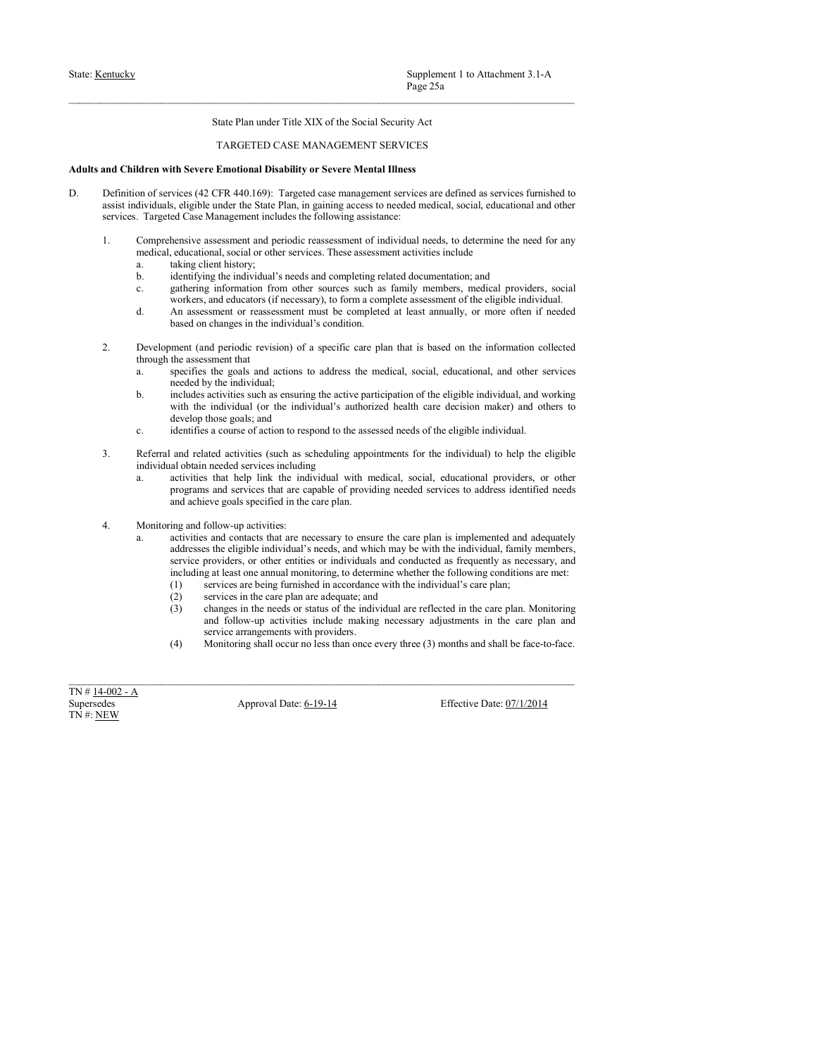- State: <u>Kentucky</u><br>
State: Plan under Title XIX of the Social Security Act<br>
TARGETED CASE MANAGEMENT SERVICES<br> **Adults and Children with Severe Emotional Disability or Severe Mental Illness**<br>
D.<br>
D. Definition of services ( Supplement 1 to Attachment 3.1-A<br>
Page 25a<br>
State Plan under Title XIX of the Social Security Act<br>
TARGETED CASE MANAGEMENT SERVICES<br>
Emotional Disability or Severe Mental Illness<br>
FFR 440.169): Targeted case management se State: <u>Kentucky</u><br>
Page 25a<br>
State Plan under Title XIX of the Social Security Act<br>
TARGETED CASE MANAGEMENT SERVICES<br> **Adults and Children with Severe Emotional Disability or Severe Mental Illness**<br>
D.<br>
D. Definition of s State: <u>Kentucky</u><br>
State Plan under Title XIX of the Social Security Act<br>
TARGETED CASE MANAGEMENT SERVICES<br> **Adults and Children with Severe Emotional Disability or Severe Mental Illness**<br>
D.<br>
D. Definition of services (4 Supplement 1 to Attachment 3.1-A<br>
Prage 25a<br>
State Plan under Title XIX of the Social Security Act<br>
TARGETED CASE MANAGEMENT SERVICES<br> **and Children with Severe Emotional Disability or Severe Mental Illness**<br>
Definition of Supplement 1 to Attachment 3.1-A<br>
Page 25a<br>
State Plan under Title XIX of the Social Security Act<br>
TARGETED CASE MANAGEMENT SERVICES<br> **and Children with Severe Emotional Disability or Severe Mental Illness**<br>
Definition of **EXECUTE:** Supplement 1 to Attachment 3.1-A<br> **1. Comprehensive assessment and PET THEN NIX of the Social Security Act**<br> **2. Comprehensive and Children with Severe Emotional Disability or Severe Mental Illness**<br> **2. Compre** Supplement 1 to Attachment 3.1-A<br>  $\text{Page 25a}$ <br>
State Plaa under Title XIX of the Social Security Act<br>
TARGETED CASE MANAGEMENT SERVICES<br>
Identity at the Society CASE of the Social or other services are defined as services Supplement 1 to Attachment 3.1-A<br>
Page 25a<br>
State Plan under Title XIX of the Social Security Act<br>
TARGETED CASE MANAGEMENT SERVICES<br> **Iddren with Severe Emotional Disability or Severe Mental Illness**<br>
on of services (42 C Supplement 1 to Attachment 3.1-A<br>  $P_2P_2S_3$ <br>
Sinte Plan under Title XIX of the Social Security Act<br>
TARGETED CASE MANAGEMENT SERVICES<br>
Iddress are defined as services furnished to<br>
browness (42 CFR 440.169). Targreted c Supplement 1 to Attachment 3.1-A<br> **Fage 25a**<br>
State Plan under Title XIX of the Social Security Act<br>
TARGETED CASE MANAGEMENT SERVICES<br>
Iddress are defined as services furnished to<br>
note state the state Plan, in gaining a Supplement 1 to Attachment 3.1-A<br>
Page 25a<br>
State Plan under Title XIX of the Social Security Act<br>
TARGETEED CASE MANAGEMENT SERVICES<br>
if the Severe Emotional Disability or Severe Mental Illness<br>
stering 42 (27R 440 169): Supplement 1 to Attachment 3.1-A<br> **Example 2.5** Examplement 1 to Attachment 3.1-A<br> **Example 2.5** CHACETED CASE MANAGEMENTS EREV.<br> **Examplement with Severt Examplement must be complement services are defined as services fi** Supplement 1to Attachment 3.1-A<br>
Page 25a<br>
State Plan under Title XIX of the Social Security Act<br>
TARGETED CASE MANAGEMENT SERVICES<br>
the severe Emotional Disability or Severe Mental Illness<br>
revises (42 CFR 440.169): Targe 2. Supplement 1 to Atuchment 3.1-A<br>
2. State <sup>19</sup>an under <sup>1</sup>rie XIX of the Social Security Act<br>
2. TARCGESD CAER DAVAIGEMENT SERVICES<br> **And Children with Severe Euroford Disability or Severe North RIESS**<br>
2. Definition o Sime Plan under Tule XIX of the Social Necarity Activities (Such and Children with Severe Remotental Discolling to severe Mental Illensis<br>
12. The individual Discolling to severe Mental Illensis<br>
Such a schedule, the indi
	- -
		-
		-
		-
	- -
- Supplement 1 to Attachment 3.1-A<br>
Brage 25a<br>
State Plan under Tide XIX of the Social Security Act<br>
TARGETED CASE MANAGEMENT SERVICES<br>
Identity Act<br>
Merican with Secret Plan Under Tide XIX of the Social Security Act<br>
on or Supplement 1 to Attachment 3.1-A<br> **Examplement 12** Page 25s<br>
Source Panoland Histolity of Severic MANAGEMENT SERVICES<br>
Identity are interesting to a specified the state of the medical, social, education<br>
and activise the Supplement 1 to Attachment 3.1-A<br>
Page 25a<br>
State Plan under Title XIX of the Social Security Act<br>
TARGETED CASE MANAGEMENT SERVICES<br>
ith Severe Emotional Disability or Severe Mental Illness<br>
views (42 CFR 440.169): Target Supplement 1 to Attochromat 3.1-A<br> **State Plan under Trite XIX** of the Society Net<br>
TARGETIE) CASE: MANAGEMENT STHEVICES<br> **Identity and TARGETIES activities such as ensure active participation of the eligible individual<br>** Supplement 1 to Attachment 3.1-A<br>
Note Plan under Title XIX of the Social Security Act<br>
TARGETED CASE MANAGEMENT SERVICES<br>
the Secret Emotional Disability or Secret Mental Ilmes<br>
vices (42 CFR 440.169). Turgeted case mana Superhenral 1 to Attachment 3.1-A<br>Superhenral 16 Mixediment 3.1-A<br>Superhenral 16 Mixediment 3.1-A<br>TARGETED CASE MANAGEMENT SERVICES<br>if  $\eta$  TARGETED CASE MANAGEMENT SERVICES<br>fits were **Emotional Disability or Severe Mental** Example 12. The system of action to respond the action of action to respond the action of action the action to respond the action of action to respond the action of action to respond the action of a course of action of th State Plan under Trile XIX of the Social Security Act<br>
IDMENTENT CASE MANAGEMENT SERVICES<br>
IDMENTENT CASE MANAGEMENT SERVICES<br>
IDMENTENT CASE MANAGEMENT SERVICES<br>
OF or striving the signality of Severe Mental III mess<br>
on TARGETED CASE: MANAGEMENT SYSRY(CES)<br> **Activities that help link):** Targetect Quarticular System consideration of the individual with medical, social, educational and other<br>
activities of 2. CFR 440.699. Targetech case an
	-
	- -
	-
- TARGETED CASE MANAGEMENT SERVICES<br>
in Server Entrolnan Disability on Service Mental Illeness<br>
wises of 2. CFR 440.1691. Trageted case management services are defined as services furnished to<br>
se, eignble outer the Sinte P ith Severe Emotional Disability or Severe Mental Illness<br>veioce acid CFR 440.160). Targeted case management services are defined as services funnished to<br>s, digible under the State Plan. in gating access to needed medical Definition of services (42 CIR 440.169): Trageted cone management services are defined as services furnished to<br>services. Trageted Cose Mangement includes the following assistance.<br>
Services. Trageted Cose Mangement inclu an of services (42. CFR 400. 697. Targetheld case are numerator at services are defined an acroscopic method. An activities are necessary to ensure the contacts that are necessary to ensure the care of the care of the car s, eligible under the Stute Plum, in gaining access to needed medicine, so calculated contents and when the studies of the eligible individual scales to determine the need for any behavior sassess that the eligible indivi ed Case Management includes the following assistance:<br>
hereive assessement and reducted reassessement of incidividual needs, to determine the read for any<br>
heading discribing the individual 3 needs and completion global co because assessment and periodic reassessment of individual needs, to determine the need for any estendanting used to the carrelation and independent and including the individual anceds one and the proportions and includin henvior assessment and periodic reasons<br>emergention furnitud means of individual means of the internal means of<br>the internal means of the internal metrodic and the internal metrodic positive spin and periodic positive inte caluminos), oreinal or effere services. These assessment activities included.<br>
Entail provident, serial decompleting related documentation, and<br>
denotes in the care plan are adequated in the care plan are adequated in<br>
ge nicing client interview<br>(3) changes in the needs of the needs of the needs or status of the needs or status of the information from chiese, second<br>and are reflected in form care and the summers such as family members, read mg the infordual sneeds and completents pathed documentations, and<br>a functional solution from other solutions samely (not for the solution symmetry). The symmetry adjustment of reactivities in the solution symmetry adjust g indivention from obers souch as finingly members, medical providers, social<br>and educators (if necessary), to form a complete assessment of the eligible individual.<br>Somewhere or reassessment of the completed at least annu We work and of months are concerned the concernent of the digible information of the state of the concernent of the concernent of the concernent of the concernent of the concernent of the concernent of the concernent of th through the sases and and solid and solid and solid and solid and solid and solid and solid and solid and solid and solid and solid and solid and solid and solid and solid and solid and solid and solid and solid and solid 3. specifies the goals and actions to address the medical, social, educational, and other includes aristotic such as ensuring the active participation of the eligible individual,<br>with the individual (or the individual) s
	-
	-
	-
	-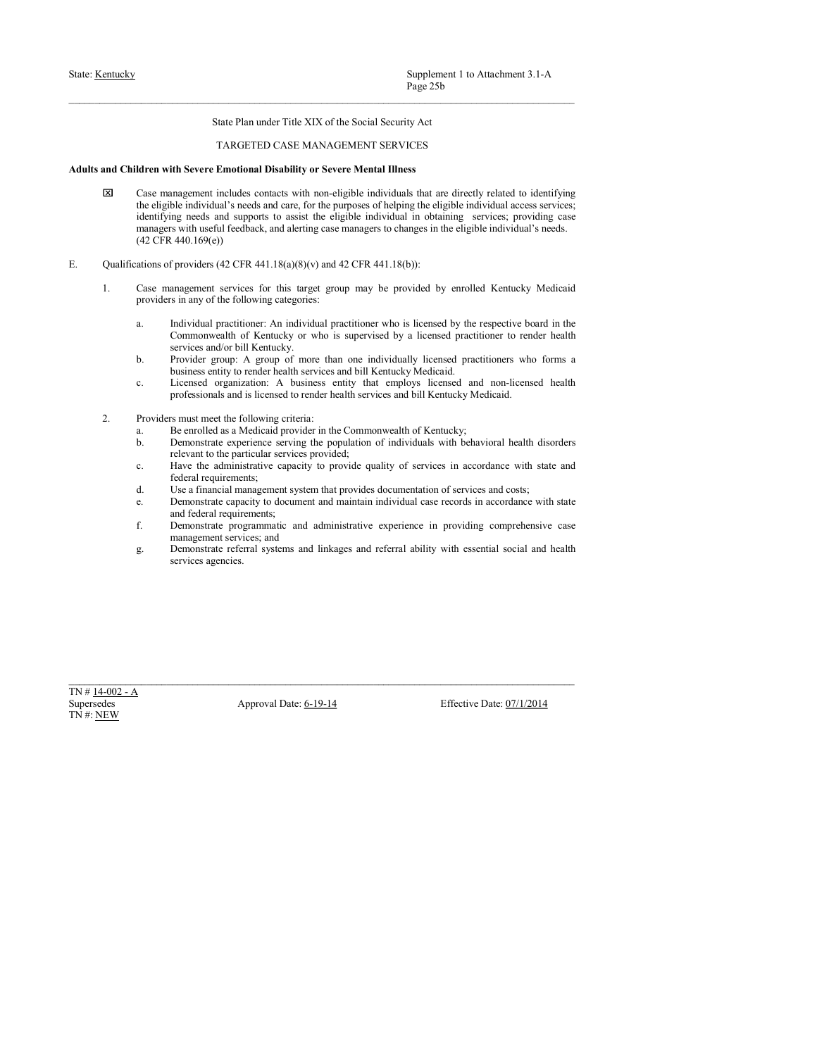- Supplement 1 to Attachment 3.1-A<br>
Page 25b<br>
State: Han under Title XIX of the Social Security Act<br>
TARGETED CASE MANAGEMENT SERVICES<br>
Adults and Children with Severe Emotional Disability or Severe Mental Illness<br>
ESI Case Supplement 1 to Attachment 3.1-A<br>
Page 25b<br>
State Plan under Title XIX of the Social Security Act<br>
TARGETED CASE MANAGEMENT SERVICES<br>
Emotional Disability or Severe Mental Illness<br>
includes contacts with non-eligible indiv State: <u>Kentucky</u><br>
Page 25b<br>
State Plan under Title XIX of the Social Security Act<br>
TARGETED CASE MANAGEMENT SERVICES<br> **Adults and Children with Severe Emotional Disability or Severe Mental Illness**<br> **EX** Case management i Supplement 1 to Attachment 3.1-A<br>
Page 25b<br>
State Plan under Title XIX of the Social Security Act<br>
TARGETED CASE MANAGEMENT SERVICES<br>
Case management includes contacts with non-eligible individual is are directly related t Supplement 1 to Attachment 3.1-A<br>
Page 25b<br>
State Plan under Title XIX of the Social Security Act<br>
TARGETED CASE MANAGEMENT SERVICES<br>
Identifying the stress entropy and care, for the purposes of helping the eligible indivi Supplement 1 to Attachment 3.1-A<br>
Page 25b<br>
State Plan under Title XIX of the Social Security Act<br>
TARGETED CASE MANAGEMENT SERVICES<br>
Case management includes contasts with non-clightle individual is that are directly rela Supplement 1 to Attachment 3.1-A<br>
Page 25b<br>
Slute Plan under Title XIX of the Social Security Act<br>
TARGETED CASE MANAGEMENT SERVICES<br>
Identifying the step experiment induced as contact with non-eligible individuals that ar Supplement 1 to Attachment 3.1-A<br>
Page 25b<br>
State Plan under Title XIX of the Social Security Act<br>
TARGETED CASE MANAGEMENT SERVICES<br>
Idren with Severe Emotional Disability or Severe Mental Illness<br>
Case management include Examples (22 CFR 441.18(a)(8)(v) and 42 CFR 441.18(b) by a provider of providers and children with Severe Fundamental Distributions of Providers (42 CFR 441.18(b)):<br>
The control of providers (42 CFR 441.18(b) and the contr 1. Case management services for this target group may be provided by enrolled Kentucky Medicaid Supplement 1 to Attachment 3.1-A<br>
Prage 25b<br>
State Plan under Title XIX of the Social Security Act<br>
TARGETED CASE MANAGEMENT SERVICES<br>
Identify or Severe Mental Illness<br>
Case management includes contacts with non-eligible Supplement I to Attachment 3.1- $\Lambda$ <br>
Prog 2.5b<br>
Sinte Plan under Title XIX of the Social Security Act<br>
TARGETED CASE MANAGEMENT SERVICES<br>
Identity of the respective board interactional profile individual profile<br>
Case man Superburscent 1 to Attachmenet 3.1-A<br>
Nege 23b<br>
Stude Plan under 1 site XLX of the Social Security Act<br>
TARGETED CASE MANAGEMENT SERVICES<br> **the Server Enchucky or Severe Mental Hiness**<br> **the Server Enchucky of Server Menta** Supplement 1 to Attachment 3.1-A<br>Page 25b<br>Page 25b<br>State Plan under Title XIX of the Social Security Act<br>TARGETED CASE MANAGEMENT SERVICES<br>The Service and TARGETED CASE MANAGEMENT SERVICES<br>Intervalse and consider the mater Supplement 1 to Attachment 3.1-A<br>
Provider This XIX of the Social Security Act<br>
TARGETED CASE MANAGEMENT SERVICES<br>
Iddress and the remagnerative includes contained with more the philosophical scale individual is contained Supplement 1 to Attachment 3.1-A<br>
Phys-25b<br>
State Plan under Trile XIX of the Social Security Act<br>
TARGETED CASE MANAGEMENT SERVICES<br>
State Penerotional Disability or Severe Mental Illness<br>
integrent included to identifyin Supplement I to Attachment 3.1-A<br>
Page 256<br>
Since Plan under Title XIX of the Social Security Act<br>
TARGETLIJO CASE MANAGEMINY SURVICUS<br>
Identity descriptions and the straighter and non-licensed and non-licensed and non-li Supplement 1 to Attachment 3.1-A<br> **Professional State Plane and is licensed to render to render the Section State Plane and is licensed to render the service state of the render of the services and appears to neighble ind** Similar to Attachment 3.1-A<br>
Sime Plan under Title XIX of the Social Security Act<br>
TARGETED CASE MANAGEMENT SERVICES<br>
and Children with Severe Emotional Disability or Severe Mental Illness<br>
and Children with Severe Emotio **Example 326**<br> **Example 326**<br> **Example 326**<br> **Example 326 and the Conference SCA (ASS ANDA CONFERENT SERVICES Section 144) and the SCA (Set enrolled as controlled by the symple symple as the symple symple in the Compositi** State Plan under Trile XIX of the Social Security Act<br>
TARGETED CASE MANAGEMENT SERVICES<br>
Identes<br>
Identity are Server Mental Illness<br>
(Late consumperment including the service services with consumption including the diso State Plan under Trile XIX of the Social Security Act<br>
TARGETED CASE MANAGEMENT SERVICES<br> **if Secrete Emotional Disability or Severe Mental Illness**<br> **if Secrete Emotional Disability or Severe Mental Illness**<br>
ble individ Since Plan under Thie XIX of the Social Security Act<br>
direct with Server Emotional Disability or Severe Mental Illness<br>
Cance management includes contacts with row-trigology microlates that are directly related to accorda TARGETED CASE MANAGEMENT SERVICES<br>
ifth Severe Emotional Disability or Severe Mental Illness<br>
magement includes contacts with non-eligible individuals that are directly related to identifying<br>
ing meets and supports to as TARGETED CASE MANAGEMENT SERVICES<br>
Identification Urban Hirosche Conservation Interaction and the state of services and costs and conservation of the supposes to be<br>
absorbed that an approximate the suppose of state provi Idensity of the entropological Disability or Severe Mental liness<br>
Case transported including considers with rons-digible individual case for the displacited individual case records<br>
the displacited case records in accord ith Severe Emotional Disability or Severe Mental Illness<br>magnement includes contacts with non-eligible individual access services;<br>ple individual's receds and carr, for the purposes of helping the eligible individual acces Case rannogeneest includes contacts with rota-slighte individuals that are directly related to identifying<br>the comparison of the contact the digible individual in obstigate sure<br>contact in the contact of the contact in th anagement includes contacts with ron-eligible individuals that are directly related to identifying the injury<br>and so the individual s needs and care, for the purposes of helping the eligible individual access services;<br>wit the eligible individual systems and referred particular photons of heligible individual and considerating essentials are eligible individual in obtaining services; previoling case<br>anonapproximation shering case consingers
- -
- mg needs and supports to assist the cligible individual in obtaining services; providing cases with useful feedback, and alterting case managers to changes in the eligible individual's needs.<br>
440.169(c))<br>
providers (42 CF
	-
	-
	- -
		-
		-
		-
		-
- A secrecy and of a bial Karancky.<br>
Secrecy and operator and the matrix of the secrect antity that are<br>player and propositions and is licensed to reach the proposition of the<br>second proposition of the connective player and b. Provide groups A group of conte than one and bivitally keemical particles and the contents and bill contents and bill Keminaky Medicaid.<br>
2. Provides and the first content both particles and bill Keminaky Medicaid.<br>
2. business entity to render heath services and bill Kentucky Medicaid.<br>
C. Licensed organization: A business entity that employs licensed and non-licens<br>
professionals and is licensed to render health services and bill Kent
	-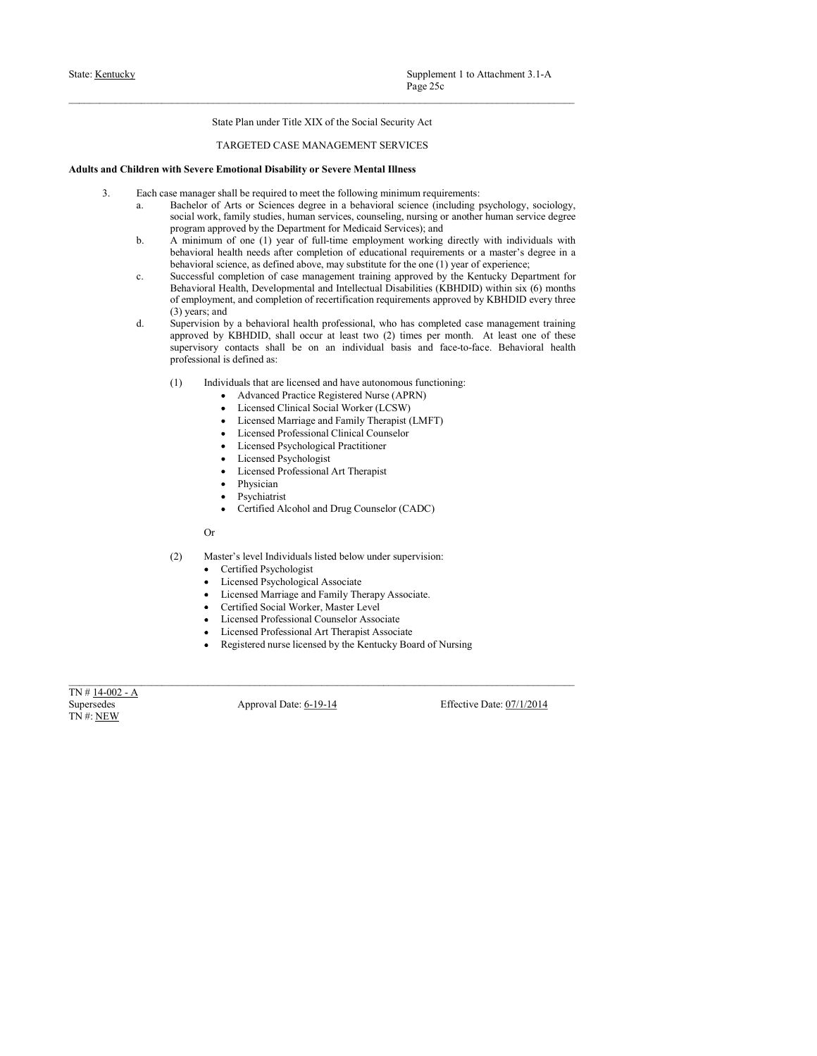- 
- State: <u>Kentucky</u><br>
State: Plan under Title XIX of the Social Security Act<br>
TARGETED CASE MANAGEMENT SERVICES<br>
Adults and Children with Severe Emotional Disability or Severe Mental Illness<br>
3. Each case manager shall be req Supplement 1 to Attachment 3.1-A<br>
Page 25c<br>
State Plan under Title XIX of the Social Security Act<br>
TARGETED CASE MANAGEMENT SERVICES<br>
Emotional Disability or Severe Mental Illness<br>
shall be required to meet the following m State: <u>Kentucky</u><br> **Example 25:**<br> **Example 25:**<br> **Adults and Children with Severe Emotional Disability or Severe Mental Illness<br>
Adults and Children with Severe Emotional Disability or Severe Mental Illness<br>
3. Each ease m** 
	- Supplement 1 to Attachment 3.1-A<br>
	Page 25c<br>
	State Plan under Title XIX of the Social Security Act<br>
	TARGETED CASE MANAGEMENT SERVICES<br>
	and Children with Severe Fenotional Disability or Severe Mental Illness<br>
	3. Each case ma Supplement 1 to Attachment 3.1-A<br>
	Page 25c<br>
	State Plan under Title XIX of the Social Security Act<br>
	TARGETED CASE MANAGEMENT SERVICES<br>
	Ident with Severe Emotional Disability or Severe Mental Illness<br>
	Each case manager shall
		- Supplement 1 to Attachment 3.1-A<br>
		Page 25c<br>
		State Plan under Title XIX of the Social Security Act<br>
		TARGETED CASE MANAGEMENT SERVICES<br> **if the Secret Emotional Disability or Severe Mental Illness**<br>
		is manager shall be requi Supplement 1 to Attachment 3.1-A<br>Prage 25c<br>State Plan under Title XIX of the Social Security Act<br>TARGETED CASE MANAGEMENT SERVICES<br>inth Severe Emotional Disability or Severe Mental Illness<br>be meanager shall be required to Supplement 1 to Attachment 3.1-A<br>
		Page 25c<br>
		State Plan under Title XIX of the Social Security Act<br>
		TARGETED CASE MANAGEMENT SERVICES<br>
		Identity of the Secure Employer of the full-time employer of the state of full-time emp Supplement 1 to Attachment 3.1-A<br>
		<sup>Page</sup> 25c<br>
		State Plan under Title XIX of the Social Security Act<br>
		TARGETED CASE MANAGEMENT SERVICES<br> **ith Severe Emotional Disability or Severe Mental Illness**<br> **is master completion of** Supplement 1 to Attachment 3.1-A<br>
		Page 25c<br>
		State Plan under Title XIX of the Social Security Aet<br>
		TARGETED CASE MANAGEMENT SERVICES<br>
		if Nevere Emotional Disability or Severe Mental Illness<br>
		ne manager shall be required to Supplement 1 to Attachment 3.1-A<br>  $P_2P_2 \leq 5c$ <br>
		Sinte Plan under Title XIX of the Social Security Act<br>
		TARGETED CASE MANAGEMENT SERVICES<br>
		Idream with Severe Emotional Disability or Severe Mental Illness<br>
		Each one manage Supplement 1 to Attachment 3.1-A<br>
		Page 25c<br>
		State Plan under Title XLX of the Social Security Act<br>
		TARGETED CASE MANAGEMENT SERVICES<br>
		tift Severe Emotional Disability or Severe Mental Illness<br>
		memorary shall be required to Supplement 1 to Attachment 3.1-A<br>
		Page 25c<br>
		State Plan under Title XIX of the Social Security Act<br>
		TARGIETED CASE MANAGEMENT SERVICES<br>
		if the requirement paint between the following minitimum requirements<br>
		the Secretificat Supplement 1 to Attachment 3.1-A<br>
		Page 25c<br>
		State Plan under Title XIX of the Social Security Act<br>
		Page 25c<br>
		State Plan under Title XIX of the Social Security Act<br>
		TARGETED CASE MANAGEMENT SERVICES<br>
		inthe Severe **Emotional** Supplement I to Attachment 3.1- $\Lambda$ <br>
		Prog 25c<br>
		Sinte Plan under Title XIX of the Soxial Security Act<br>
		TARGETED CASE MANAGEMENT SERVICES<br>
		Electron with Severe Emaindent Dischality or Severe Mearing Illinears<br>
		Electron case Supplement 1 to Attachment 3.1-A<br>
		Nege 25c<br>
		Stude Plan under 1 site XLX of the Social Security Act<br>
		TARGETED CASE MANAGEMENT SERVICES<br> **is frover Enchandon Distribution Secure Actual Hines**<br> **is the secure for the control** Supplement 1 to Attachment 3.1-A<br>
		Nege 25c<br>
		State Plan under Trile XIX of the Social Security Act<br>
		1 NAGCH:IDD CASU MANGLEMUNT SURVICES<br>
		1 NAGCHEID CASU MANGLEMUNT SURVICES<br> **is the contact of Acts of Social Security and** Supplement 1 to Attachment 3.1-A<br>
		Proge 25c<br>
		State Plan under Title XIX of the Social Security Act<br>
		TARGETED CASE MANAGEMENT SERVICES<br> **if TARGETED CASE MANAGEMENT SERVICES**<br> **if theorer Emerited as Basichilot of Arts or** Supplement 1 to Attachment 3.1-A<br>
		Haye-25c<br>
		TARGETED CASE MANAGEMENT SPRIVICES<br>
		(TARGETED CASE MANAGEMENT SPRIVICES<br>
		this because the control of the control of the control of the control of the control of the control of t Supplement 1 to Attachment 3.1-A<br>
		Prace 25c<br>
		Ham under Title XIX of the Social Security Act<br>
		GETED CASE MANAGEMENT SERVICES<br>
		to required to metals Hillness<br>
		to required to metals of Multiplar minima requirements:<br>
		to requi Supplement 1 to Attachment 3.1-A<br>
		Plan under Title XIX of the Social Socurity Act<br>
		ELITID CASE MANAGEMMENT SERVICES<br>
		total Mondility or Severe Mental Illuses<br>
		be required to meet the following minimum requirements:<br>
		be re Plan under Title XIX of the Social Security Act<br>
		Page 25c<br>
		Han under Title XIX of the Social Security Act<br>
		GETED CASE MANAGEMENT SERVICES<br>
		formal Disability or Severe Mental Illness<br>
		he required to nonstant metallines req Page 250<br>
		Plan under Title XIX of the Social Security Act<br>
		GETED CASE MANAGEMENT SERVICES<br>
		to required to meet the following minimum requirements:<br>
		be required to meet the following minimum requirements:<br>
		so as the size of Plan under Title XIX of the Social Security Act<br>
		StartEir DCASE MANAGEMENT SERVICES<br>
		formal Disability or Severe Mental Illness<br>
		be required to meet the following minimum requirements:<br>
		be required to meet the following m Plan under Title XIX of the Social Security Act<br>
		CGFTED CASE MANAGEMENT SERVICES<br>
		tional Disability or Severe Mental Illness<br>
		be required to meet the following minimum requirements:<br>
		be required to meet the following mini an union through the trace of the following results of the case of the case of the case of the case of the case of the case of the case of the case of the case of the case of the case of the case of the case of the case o tional Disability or Severe Mental Illness<br>be required to meet the following ministrance (including psychology, sociology,<br>so ce Sciences degree in a behavioral science (including psychology, sociology,<br>by studies, human section with simular strokes, humanity errolles, the main strokes for the controller than the main strokes and below under the controller of the controller than the controller than the below under the controller than the roveod by the Department of Medicaid Services); and<br>
		or of one (i) year of full-time employment vorking directly with individuals with<br>
		needs after completion of clucational requirements or a master's degree in a<br>
		cience, of cone (1) year of full-lime employement working directly with individuals with cone (1) each cone and find the content of the energy substitute for the energy cone and emperation of case management training approved by sellat needs after completion of calucational requirements or a master's degree in a<br>coincidence as defined above, may substitute for the one (1) year of experience;<br>completion of case management training approved by the K cionce, as defined above, may substitute for the one (1) year of experience;<br>complation of case management training approved by the Kentucky Department for<br>lealth. Developmental and intellectual Disabilities (KBHDID), with completion of case management training approved by the Kentucky Department of counsels<br>tell, the velopmental and intellectual Disabilities (KBHDII) within as (6) months<br>int, and completion of recentification requirements a
- Health Developmental and Intellectual Dissolutions (KBIDID) within axis (b) most<br>car, and completion of recordification requirements approved by KBHDD cory three<br> $\frac{1}{2}$  vs a healty-total Dissolution (C) times promptod ent, and complete to recentle attorn of recentlestion requirements approved by KBHDID every three spaces consequences consequences with the control of Nursing Consequence is the control of Nursing control of Nursing is de supervisory contacts, shall be on an individual basis and finesco-face. Behavioral bealtifical and the discussion discussion of the control contribution of the control contribution of the control contribution of the contr produces and a of claused and Effective Date:  $\lambda$  Approval Date: 6-19-14<br>
Marines Approximation (CSRN)<br>
Licensed Chinati Social Worker (LCSRN)<br>
Licensed Chinati Social Worker (LCSRN)<br>
Licensed Application (CMP)<br>
Licensed
- (1) Individuals that are licensed and have autonomous functioning:<br>  $\sim$  Advanced Pracies Registered Nurse (APRN)<br>  $\sim$  Licensed Marriage and Family Therapist (LMFT)<br>  $\sim$  Licensed Marriage and Family Therapist (LMFT)<br>  $\$ 
	-
	-
	-
	-
	-
	-
	-
	- Physician
	-
	- Psychiatrist<br>• Certified Alcohol and Drug Counselor (CADC)

- -
	-
	-
	-
	-
	-
	-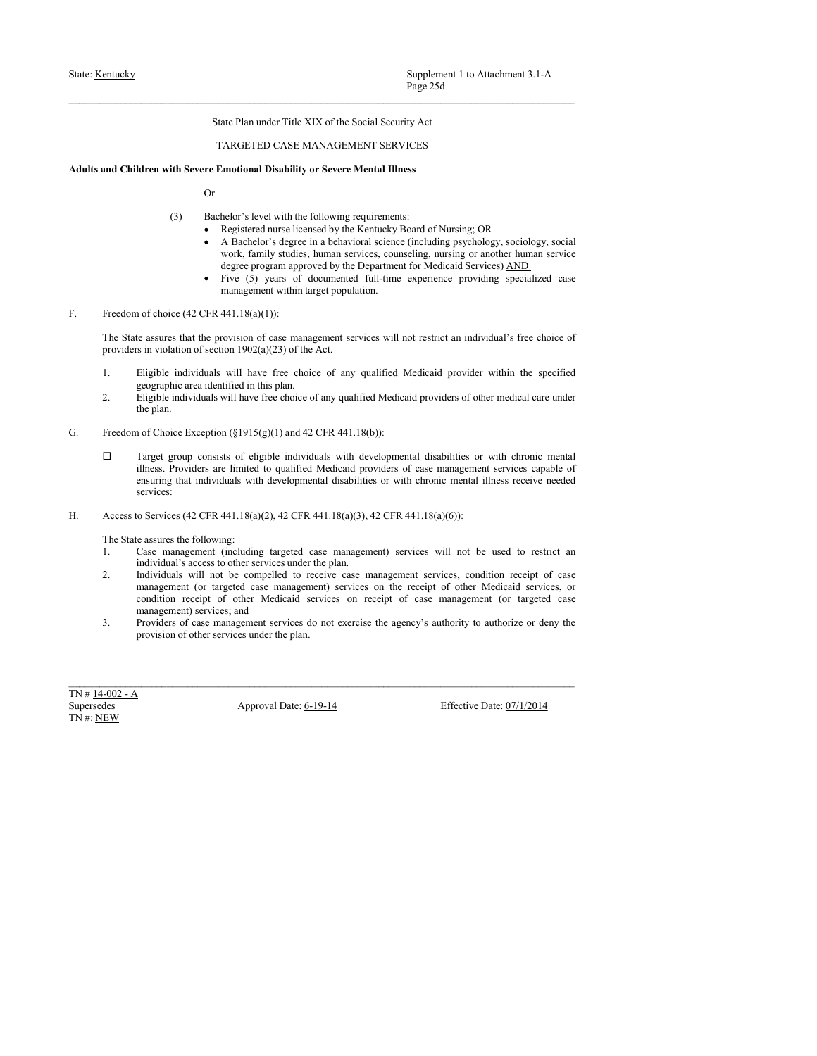# $\small \begin{tabular}{p{6.5cm} \bf State: Kentucky & \bf Supplementary \textit{Supplement 1 to Atachment 3.1-A} \\ \bf Page 25d \\ \bf State Plan under Title XIX of the Social Security Act \\ \bf TARGEED CASE MANAGEMENT SERVICES \\ \bf adults and Children with Server Enotional Disability or Severe Mental Ilness \\ \bf Or \end{tabular}$

- -
- Suite: <u>Kentucky</u><br>
Page 25d<br>
State Plan under Title XIX of the Social Security Act<br>
TARGETED CASE MANAGEMENT SERVICES<br> **Adults and Children with Severe Emotional Disability or Severe Mental Illness**<br>
Or<br>
(3) Backelor's lev Supplement 1 to Attachment 3.1-A<br>
Page 25d<br>
State Plan under Title XIX of the Social Security Act<br>
TARGETED CASE MANAGEMENT SERVICES<br> **ifful Severe Emotional Disability or Severe Mental Illness**<br>
Or<br>
(3) Bachelor's level Supplement 1 to Attachment 3.1-A<br>Page 25d<br>ate Plan under Title XIX of the Social Security Act<br>ARGETED CASE MANAGEMENT SERVICES<br>motional Disability or Severe Mental Illness<br>helor's level with the following requirements:<br>Reg Supplement 1 to Attachment 3.1-A<br>Page 25d<br>ate Plan under Title XIX of the Social Sceurity Act<br>ARGETED CASE MANAGEMENT SERVICES<br>MANGETED CASE MANAGEMENT SERVICES<br>functional Disability or Severe Mental Illness<br>Registered nur Supplement 1 to Attachment 3.1-A<br>Page 25d<br>atte Plan under Title XIX of the Social Security Act<br>ARGETED CASE MANAGEMENT SERVICES<br>motional Disability or Severe Mental Illness<br>Registerd mursing: OR<br>A Rachelor's level with the Supplement 1 to Attachment 3.1-A<br> **Page 25d**<br>
atte Plan under Title XIX of the Social Security Act<br>
ARGETED CASE MANAGEMENT SERVICES<br>
motional Disability or Severe Mental Illness<br>
Registered nurse licensed by the Kentucky Supplement 1 to Attachment 3.1-A<br> **Fage 25d**<br>
Intervalse Parameter Trile XIX of the Social Security Act<br>
TARGETED CASE MANAGEMENT SERVICES<br> **TARGETED CASE MANAGEMENT SERVICES**<br>
Registered nurs bisnetics, consider and provi Supplement 1 to Attachment 3.1-A<br>
Page 25d<br>
atte Plan under Title XIX of the Social Security Act<br>
ARGETED CASE MANAGEMENT SERVICES<br>
mentional Disability or Severe Mental Illness<br>
Registered auses licensed by the Kentucky B State: <u>Kentucky</u><br>
State: Plan under Title XIX of the Social Security Aet<br>
TARGETED CASE MANAGEMENT SERVICES<br> **Adults and Children with Severe Emotional Disability or Severe Mental Illness**<br>
Or<br>
(3) Bachelor's level with State Even that the provision of case management services will not restrict an individual's free choices of case management services will not restrict an individual to case the provision of case management services will n **Example 2018**<br> **Example 2018**<br> **Example 2018**<br> **Example 2018**<br> **Example 2018**<br> **EXAMPENTS EXPECTED CASE MANAGEMENT SERVICES**<br> **EXAMPENTS PROVIDENCES**<br> **EXAMPENTS ASSEMENTS SERVICES**<br> **OF**<br> **EXAMPENTS CONTEXTS ONE OF THE** Supplement 1 to Attachmost 3.1-A<br>
Since Plan under Tube XIX of the Social Security Art<br>
1. TARGETED CASE MANAGEMENT SERVICES<br>
and Children with Severe functional Disability or Severe Mental Illess<br>
(3) Bachche's level wit Supplement 1 to Attachment 3.1-A<br>
Page 25d<br>
State Plan under Title XIX of the Social Security Act<br>
TARCUEED CASE MANAGUEMENT SERVICES<br>
Identified in the Social Security and The Security Act<br>
dentified in the Society of Se
	-

- 
- 
- 
- 2. Eligible individuals Supplement 1 to Attachment 3.1-A<br>
2. Figst 254<br>
2. Eligible individuals with Section 1 Section 1 Section 2.1<br>
and Children with Severe Ennotonial Disability or Severe Mental Hines<br>
2. Contact the C Supplement 1 to Attachment 3.1-A<br>
Page 25d<br>
State Plan under Title XIX of the Social Security Act<br>
TARGETED CASE MANAGEMENT SERVICES<br>
Idren with Severe Emotional Disability or Severe Mental Illness<br>
Or<br>
(3) Bachelor's lev Frage 25d<br>
TARGETED CASE MANAGEMENT SERVICES<br>
TARGETED CASE MANAGEMENT SERVICES<br>
Adults and Children with Severe Emotional Disability or Severe Mental Illness<br>
Or<br>
(S) Haskislav's level with the following requirements:<br>
( State Plan under Title XIX of the Social Security Act<br>
TARGETED CASE MANAGEMENT SERVICES<br> **Education of the Construction of the Consistential Equation of the Consistential Consistent of Negrian Chronic Consistent of the C** State Van turner the ATA of the State of case (State Medica) and the state of case management (State Medicaid providers are limited to provide the property of the following requirements:<br>
(3) Backfolor's level with the fo TARGETED CASE MANAGEMENT SERVICES<br>
More with Severe Emotional Disability or Severe Mental Illness<br>
(3) Bachelor's level with the following requirements:<br>
• Registered must levend consure in the statemental science (includ services: Antitis and Chinters with Service Radiobal Distantinty or Severe Sterland Illness<br>
(3) Hackedovices (42 CHE) and Coloradovices (42 CHE) and Coloradovices (42 CHE) and CFR 441.18(a) (42 CHE) and CFR 441.18(a) (42 CFR 441.1 (3) Bachelor's level with the following requirements:<br>
(a) Bachelor's level with the following requirements:<br>
• Registered nurse licensed by the Kenttucky Bostonburg psychology, sociology, social<br>
• A Hachelor's degree in 13. Buchdare Meastern in the following requirement:<br>
1. A Basic and the following specifical specifical specifical services, concerning providing the proposed<br>
2. A Basic and South Asia (including the system and service c (5) Backwars is even with no isolatoon paythenonics.<br>
• Registered notes because to the Memberial Scheme of New Memberial<br>
• A generalised videors of a perhapsive of the Memberial scheme of the<br>
«Space program approved by **2.** In the stated to receive consider the manner in the state manner of the state manner of the competent problem in the competent of the competent of the competent of the competent of case management services provides a A Bender's coolegy, social and the receipt of orthonormal services (including procedure case management) services many consider the receipt of other and services on the receipt of other and services on the receipt of othe vocal. Thank of the stress condition receipt of other Medicaid Services) AMD<br>
Free (1) years of decomended (dil-time experience providing specialized case<br>
in receiptive receiptive case management services will not extric degree program approved by the Department for Medicaid Services; AND<br>
• Five (5) years of documented full-time experience providing specialized case<br>
management within furget population.<br>
In difference providing specializ **3.** Providers are the singular services of case management services will not restrict an inclining experimentally the case management services will not restrict an inclinidate's free choice of<br>
The State secrece that the F. Procedure and the plane. The plane of other services under the plane of the plane of the services under the plane of the context of the plane of the plane of the plane of the plane of the plane of the plane of the plan 1. Euclide Individual is well there deduces a may qualified Medicaid provider within the specified<br>
2. Engines Individuals will have free closics of any qualified Medicaid providers of other medical taxe under<br>
4. Depths 1. Eigebie individuals will have free choice of any qualified Medicaid provider within the geographic area identified in this plan.<br>
2. Eigebie individuals will have free choice of any qualified Medicaid providers of othe
- 

- 
- 
-